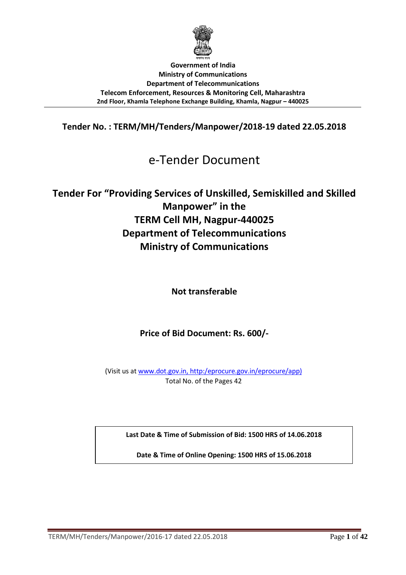

**Government of India Ministry of Communications Department of Telecommunications Telecom Enforcement, Resources & Monitoring Cell, Maharashtra 2nd Floor, Khamla Telephone Exchange Building, Khamla, Nagpur – 440025**

**Tender No. : TERM/MH/Tenders/Manpower/2018-19 dated 22.05.2018** 

# e-Tender Document

# **Tender For "Providing Services of Unskilled, Semiskilled and Skilled Manpower" in the TERM Cell MH, Nagpur-440025 Department of Telecommunications Ministry of Communications**

**Not transferable** 

**Price of Bid Document: Rs. 600/-** 

(Visit us at www.dot.gov.in, http:/eprocure.gov.in/eprocure/app) Total No. of the Pages 42

**Last Date & Time of Submission of Bid: 1500 HRS of 14.06.2018** 

**Date & Time of Online Opening: 1500 HRS of 15.06.2018**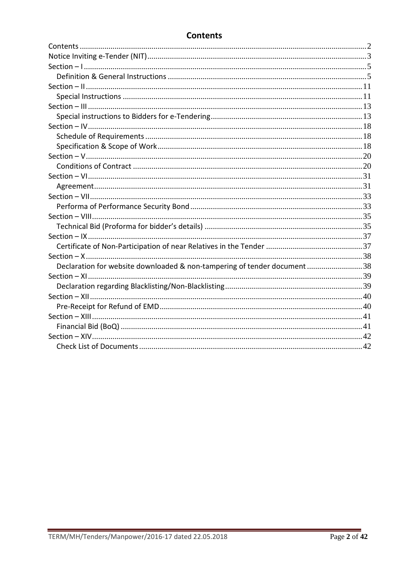# **Contents**

| Declaration for website downloaded & non-tampering of tender document38 |  |
|-------------------------------------------------------------------------|--|
|                                                                         |  |
|                                                                         |  |
|                                                                         |  |
|                                                                         |  |
|                                                                         |  |
|                                                                         |  |
|                                                                         |  |
|                                                                         |  |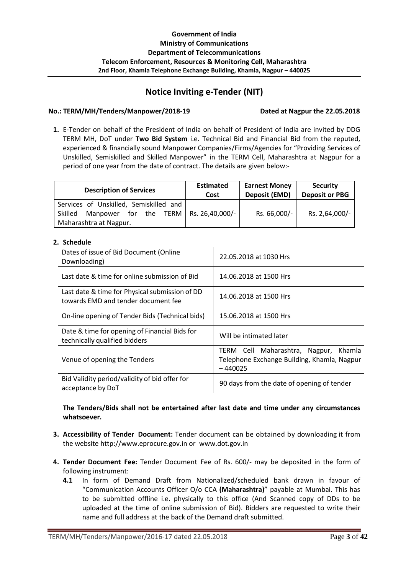# **Notice Inviting e-Tender (NIT)**

#### **No.: TERM/MH/Tenders/Manpower/2018-19 Dated at Nagpur the 22.05.2018**

**1.** E-Tender on behalf of the President of India on behalf of President of India are invited by DDG TERM MH, DoT under **Two Bid System** i.e. Technical Bid and Financial Bid from the reputed, experienced & financially sound Manpower Companies/Firms/Agencies for "Providing Services of Unskilled, Semiskilled and Skilled Manpower" in the TERM Cell, Maharashtra at Nagpur for a period of one year from the date of contract. The details are given below:-

| <b>Description of Services</b>                        | <b>Estimated</b><br>Cost | <b>Earnest Money</b><br>Deposit (EMD) | <b>Security</b><br><b>Deposit or PBG</b> |
|-------------------------------------------------------|--------------------------|---------------------------------------|------------------------------------------|
| Services of Unskilled, Semiskilled and                |                          |                                       |                                          |
| for the TERM   Rs. 26,40,000/-<br>Skilled<br>Manpower |                          | Rs. 66,000/-                          | Rs. 2,64,000/-                           |
| Maharashtra at Nagpur.                                |                          |                                       |                                          |

#### **2. Schedule**

| Dates of issue of Bid Document (Online<br>Downloading)                                | 22.05.2018 at 1030 Hrs                                                                            |
|---------------------------------------------------------------------------------------|---------------------------------------------------------------------------------------------------|
| Last date & time for online submission of Bid                                         | 14.06.2018 at 1500 Hrs                                                                            |
| Last date & time for Physical submission of DD<br>towards EMD and tender document fee | 14.06.2018 at 1500 Hrs                                                                            |
| On-line opening of Tender Bids (Technical bids)                                       | 15.06.2018 at 1500 Hrs                                                                            |
| Date & time for opening of Financial Bids for<br>technically qualified bidders        | Will be intimated later                                                                           |
| Venue of opening the Tenders                                                          | TERM Cell Maharashtra, Nagpur, Khamla<br>Telephone Exchange Building, Khamla, Nagpur<br>$-440025$ |
| Bid Validity period/validity of bid offer for<br>acceptance by DoT                    | 90 days from the date of opening of tender                                                        |

**The Tenders/Bids shall not be entertained after last date and time under any circumstances whatsoever.** 

- **3. Accessibility of Tender Document:** Tender document can be obtained by downloading it from the website http://www.eprocure.gov.in or www.dot.gov.in
- **4. Tender Document Fee:** Tender Document Fee of Rs. 600/- may be deposited in the form of following instrument:
	- **4.1** In form of Demand Draft from Nationalized/scheduled bank drawn in favour of "Communication Accounts Officer O/o CCA **(Maharashtra)**" payable at Mumbai. This has to be submitted offline i.e. physically to this office (And Scanned copy of DDs to be uploaded at the time of online submission of Bid). Bidders are requested to write their name and full address at the back of the Demand draft submitted.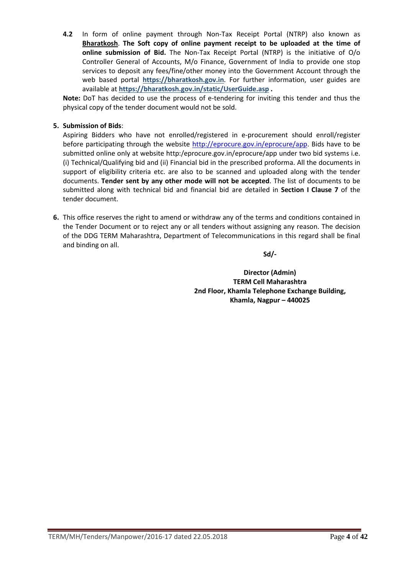**4.2** In form of online payment through Non-Tax Receipt Portal (NTRP) also known as **Bharatkosh**. **The Soft copy of online payment receipt to be uploaded at the time of online submission of Bid.** The Non-Tax Receipt Portal (NTRP) is the initiative of O/o Controller General of Accounts, M/o Finance, Government of India to provide one stop services to deposit any fees/fine/other money into the Government Account through the web based portal **https://bharatkosh.gov.in**. For further information, user guides are available at **https://bharatkosh.gov.in/static/UserGuide.asp .** 

**Note:** DoT has decided to use the process of e-tendering for inviting this tender and thus the physical copy of the tender document would not be sold.

### **5. Submission of Bids**:

Aspiring Bidders who have not enrolled/registered in e-procurement should enroll/register before participating through the website http://eprocure.gov.in/eprocure/app. Bids have to be submitted online only at website http:/eprocure.gov.in/eprocure/app under two bid systems i.e. (i) Technical/Qualifying bid and (ii) Financial bid in the prescribed proforma. All the documents in support of eligibility criteria etc. are also to be scanned and uploaded along with the tender documents. **Tender sent by any other mode will not be accepted**. The list of documents to be submitted along with technical bid and financial bid are detailed in **Section I Clause 7** of the tender document.

**6.** This office reserves the right to amend or withdraw any of the terms and conditions contained in the Tender Document or to reject any or all tenders without assigning any reason. The decision of the DDG TERM Maharashtra, Department of Telecommunications in this regard shall be final and binding on all.

### **Sd/-**

**Director (Admin) TERM Cell Maharashtra 2nd Floor, Khamla Telephone Exchange Building, Khamla, Nagpur – 440025**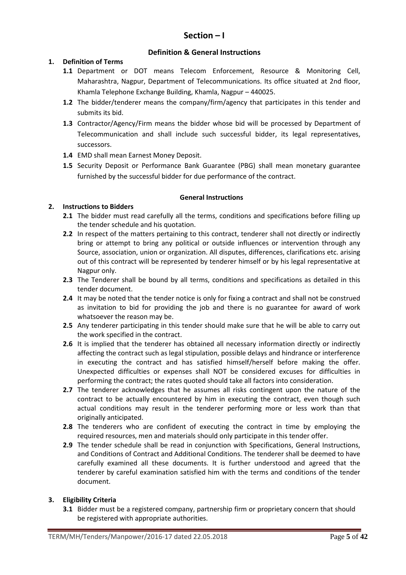# **Section – I**

### **Definition & General Instructions**

### **1. Definition of Terms**

- **1.1** Department or DOT means Telecom Enforcement, Resource & Monitoring Cell, Maharashtra, Nagpur, Department of Telecommunications. Its office situated at 2nd floor, Khamla Telephone Exchange Building, Khamla, Nagpur – 440025.
- **1.2** The bidder/tenderer means the company/firm/agency that participates in this tender and submits its bid.
- **1.3** Contractor/Agency/Firm means the bidder whose bid will be processed by Department of Telecommunication and shall include such successful bidder, its legal representatives, successors.
- **1.4** EMD shall mean Earnest Money Deposit.
- **1.5** Security Deposit or Performance Bank Guarantee (PBG) shall mean monetary guarantee furnished by the successful bidder for due performance of the contract.

### **General Instructions**

### **2. Instructions to Bidders**

- **2.1** The bidder must read carefully all the terms, conditions and specifications before filling up the tender schedule and his quotation.
- **2.2** In respect of the matters pertaining to this contract, tenderer shall not directly or indirectly bring or attempt to bring any political or outside influences or intervention through any Source, association, union or organization. All disputes, differences, clarifications etc. arising out of this contract will be represented by tenderer himself or by his legal representative at Nagpur only.
- 2.3 The Tenderer shall be bound by all terms, conditions and specifications as detailed in this tender document.
- **2.4** It may be noted that the tender notice is only for fixing a contract and shall not be construed as invitation to bid for providing the job and there is no guarantee for award of work whatsoever the reason may be.
- **2.5** Any tenderer participating in this tender should make sure that he will be able to carry out the work specified in the contract.
- **2.6** It is implied that the tenderer has obtained all necessary information directly or indirectly affecting the contract such as legal stipulation, possible delays and hindrance or interference in executing the contract and has satisfied himself/herself before making the offer. Unexpected difficulties or expenses shall NOT be considered excuses for difficulties in performing the contract; the rates quoted should take all factors into consideration.
- **2.7** The tenderer acknowledges that he assumes all risks contingent upon the nature of the contract to be actually encountered by him in executing the contract, even though such actual conditions may result in the tenderer performing more or less work than that originally anticipated.
- **2.8** The tenderers who are confident of executing the contract in time by employing the required resources, men and materials should only participate in this tender offer.
- **2.9** The tender schedule shall be read in conjunction with Specifications, General Instructions, and Conditions of Contract and Additional Conditions. The tenderer shall be deemed to have carefully examined all these documents. It is further understood and agreed that the tenderer by careful examination satisfied him with the terms and conditions of the tender document.

#### **3. Eligibility Criteria**

**3.1** Bidder must be a registered company, partnership firm or proprietary concern that should be registered with appropriate authorities.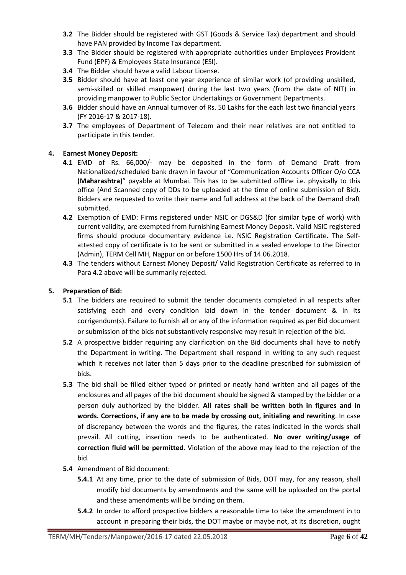- **3.2** The Bidder should be registered with GST (Goods & Service Tax) department and should have PAN provided by Income Tax department.
- **3.3** The Bidder should be registered with appropriate authorities under Employees Provident Fund (EPF) & Employees State Insurance (ESI).
- **3.4** The Bidder should have a valid Labour License.
- **3.5** Bidder should have at least one year experience of similar work (of providing unskilled, semi-skilled or skilled manpower) during the last two years (from the date of NIT) in providing manpower to Public Sector Undertakings or Government Departments.
- **3.6** Bidder should have an Annual turnover of Rs. 50 Lakhs for the each last two financial years (FY 2016-17 & 2017-18).
- **3.7** The employees of Department of Telecom and their near relatives are not entitled to participate in this tender.

### **4. Earnest Money Deposit:**

- **4.1** EMD of Rs. 66,000/- may be deposited in the form of Demand Draft from Nationalized/scheduled bank drawn in favour of "Communication Accounts Officer O/o CCA **(Maharashtra)**" payable at Mumbai. This has to be submitted offline i.e. physically to this office (And Scanned copy of DDs to be uploaded at the time of online submission of Bid). Bidders are requested to write their name and full address at the back of the Demand draft submitted.
- **4.2** Exemption of EMD: Firms registered under NSIC or DGS&D (for similar type of work) with current validity, are exempted from furnishing Earnest Money Deposit. Valid NSIC registered firms should produce documentary evidence i.e. NSIC Registration Certificate. The Selfattested copy of certificate is to be sent or submitted in a sealed envelope to the Director (Admin), TERM Cell MH, Nagpur on or before 1500 Hrs of 14.06.2018.
- **4.3** The tenders without Earnest Money Deposit/ Valid Registration Certificate as referred to in Para 4.2 above will be summarily rejected.

### **5. Preparation of Bid:**

- **5.1** The bidders are required to submit the tender documents completed in all respects after satisfying each and every condition laid down in the tender document & in its corrigendum(s). Failure to furnish all or any of the information required as per Bid document or submission of the bids not substantively responsive may result in rejection of the bid.
- **5.2** A prospective bidder requiring any clarification on the Bid documents shall have to notify the Department in writing. The Department shall respond in writing to any such request which it receives not later than 5 days prior to the deadline prescribed for submission of bids.
- **5.3** The bid shall be filled either typed or printed or neatly hand written and all pages of the enclosures and all pages of the bid document should be signed & stamped by the bidder or a person duly authorized by the bidder. **All rates shall be written both in figures and in words. Corrections, if any are to be made by crossing out, initialing and rewriting**. In case of discrepancy between the words and the figures, the rates indicated in the words shall prevail. All cutting, insertion needs to be authenticated. **No over writing/usage of correction fluid will be permitted**. Violation of the above may lead to the rejection of the bid.
- **5.4** Amendment of Bid document:
	- **5.4.1** At any time, prior to the date of submission of Bids, DOT may, for any reason, shall modify bid documents by amendments and the same will be uploaded on the portal and these amendments will be binding on them.
	- **5.4.2** In order to afford prospective bidders a reasonable time to take the amendment in to account in preparing their bids, the DOT maybe or maybe not, at its discretion, ought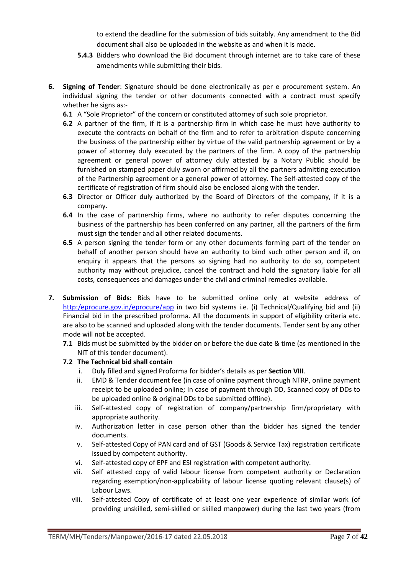to extend the deadline for the submission of bids suitably. Any amendment to the Bid document shall also be uploaded in the website as and when it is made.

- **5.4.3** Bidders who download the Bid document through internet are to take care of these amendments while submitting their bids.
- **6. Signing of Tender**: Signature should be done electronically as per e procurement system. An individual signing the tender or other documents connected with a contract must specify whether he signs as:-
	- **6.1** A "Sole Proprietor" of the concern or constituted attorney of such sole proprietor.
	- **6.2** A partner of the firm, if it is a partnership firm in which case he must have authority to execute the contracts on behalf of the firm and to refer to arbitration dispute concerning the business of the partnership either by virtue of the valid partnership agreement or by a power of attorney duly executed by the partners of the firm. A copy of the partnership agreement or general power of attorney duly attested by a Notary Public should be furnished on stamped paper duly sworn or affirmed by all the partners admitting execution of the Partnership agreement or a general power of attorney. The Self-attested copy of the certificate of registration of firm should also be enclosed along with the tender.
	- **6.3** Director or Officer duly authorized by the Board of Directors of the company, if it is a company.
	- **6.4** In the case of partnership firms, where no authority to refer disputes concerning the business of the partnership has been conferred on any partner, all the partners of the firm must sign the tender and all other related documents.
	- **6.5** A person signing the tender form or any other documents forming part of the tender on behalf of another person should have an authority to bind such other person and if, on enquiry it appears that the persons so signing had no authority to do so, competent authority may without prejudice, cancel the contract and hold the signatory liable for all costs, consequences and damages under the civil and criminal remedies available.
- **7. Submission of Bids:** Bids have to be submitted online only at website address of http:/eprocure.gov.in/eprocure/app in two bid systems i.e. (i) Technical/Qualifying bid and (ii) Financial bid in the prescribed proforma. All the documents in support of eligibility criteria etc. are also to be scanned and uploaded along with the tender documents. Tender sent by any other mode will not be accepted.
	- **7.1** Bids must be submitted by the bidder on or before the due date & time (as mentioned in the NIT of this tender document).

### **7.2 The Technical bid shall contain**

- i. Duly filled and signed Proforma for bidder's details as per **Section VIII**.
- ii. EMD & Tender document fee (in case of online payment through NTRP, online payment receipt to be uploaded online; In case of payment through DD, Scanned copy of DDs to be uploaded online & original DDs to be submitted offline).
- iii. Self-attested copy of registration of company/partnership firm/proprietary with appropriate authority.
- iv. Authorization letter in case person other than the bidder has signed the tender documents.
- v. Self-attested Copy of PAN card and of GST (Goods & Service Tax) registration certificate issued by competent authority.
- vi. Self-attested copy of EPF and ESI registration with competent authority.
- vii. Self attested copy of valid labour license from competent authority or Declaration regarding exemption/non-applicability of labour license quoting relevant clause(s) of Labour Laws.
- viii. Self-attested Copy of certificate of at least one year experience of similar work (of providing unskilled, semi-skilled or skilled manpower) during the last two years (from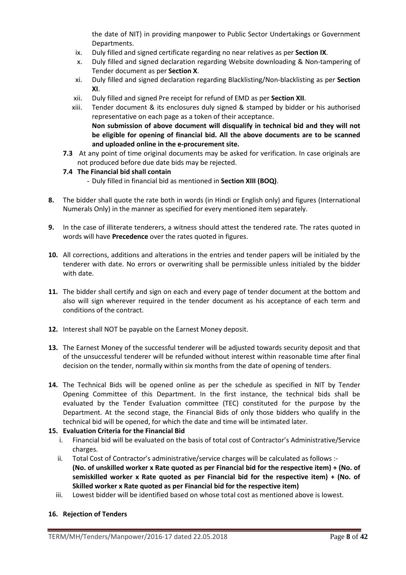the date of NIT) in providing manpower to Public Sector Undertakings or Government Departments.

- ix. Duly filled and signed certificate regarding no near relatives as per **Section IX**.
- x. Duly filled and signed declaration regarding Website downloading & Non-tampering of Tender document as per **Section X**.
- xi. Duly filled and signed declaration regarding Blacklisting/Non-blacklisting as per **Section XI**.
- xii. Duly filled and signed Pre receipt for refund of EMD as per **Section XII**.
- xiii. Tender document & its enclosures duly signed & stamped by bidder or his authorised representative on each page as a token of their acceptance. **Non submission of above document will disqualify in technical bid and they will not be eligible for opening of financial bid. All the above documents are to be scanned and uploaded online in the e-procurement site.**
- **7.3** At any point of time original documents may be asked for verification. In case originals are not produced before due date bids may be rejected.

### **7.4 The Financial bid shall contain**

- Duly filled in financial bid as mentioned in **Section XIII (BOQ)**.
- **8.** The bidder shall quote the rate both in words (in Hindi or English only) and figures (International Numerals Only) in the manner as specified for every mentioned item separately.
- **9.** In the case of illiterate tenderers, a witness should attest the tendered rate. The rates quoted in words will have **Precedence** over the rates quoted in figures.
- **10.** All corrections, additions and alterations in the entries and tender papers will be initialed by the tenderer with date. No errors or overwriting shall be permissible unless initialed by the bidder with date.
- **11.** The bidder shall certify and sign on each and every page of tender document at the bottom and also will sign wherever required in the tender document as his acceptance of each term and conditions of the contract.
- **12.** Interest shall NOT be payable on the Earnest Money deposit.
- **13.** The Earnest Money of the successful tenderer will be adjusted towards security deposit and that of the unsuccessful tenderer will be refunded without interest within reasonable time after final decision on the tender, normally within six months from the date of opening of tenders.
- **14.** The Technical Bids will be opened online as per the schedule as specified in NIT by Tender Opening Committee of this Department. In the first instance, the technical bids shall be evaluated by the Tender Evaluation committee (TEC) constituted for the purpose by the Department. At the second stage, the Financial Bids of only those bidders who qualify in the technical bid will be opened, for which the date and time will be intimated later.

### **15. Evaluation Criteria for the Financial Bid**

- i. Financial bid will be evaluated on the basis of total cost of Contractor's Administrative/Service charges.
- ii. Total Cost of Contractor's administrative/service charges will be calculated as follows :-**(No. of unskilled worker x Rate quoted as per Financial bid for the respective item) + (No. of semiskilled worker x Rate quoted as per Financial bid for the respective item) + (No. of Skilled worker x Rate quoted as per Financial bid for the respective item)**
- iii. Lowest bidder will be identified based on whose total cost as mentioned above is lowest.

### **16. Rejection of Tenders**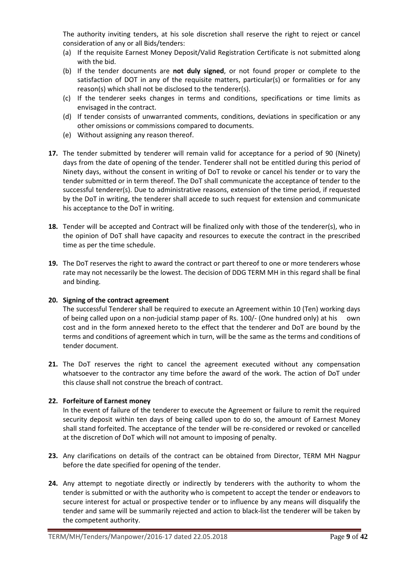The authority inviting tenders, at his sole discretion shall reserve the right to reject or cancel consideration of any or all Bids/tenders:

- (a) If the requisite Earnest Money Deposit/Valid Registration Certificate is not submitted along with the bid.
- (b) If the tender documents are **not duly signed**, or not found proper or complete to the satisfaction of DOT in any of the requisite matters, particular(s) or formalities or for any reason(s) which shall not be disclosed to the tenderer(s).
- (c) If the tenderer seeks changes in terms and conditions, specifications or time limits as envisaged in the contract.
- (d) If tender consists of unwarranted comments, conditions, deviations in specification or any other omissions or commissions compared to documents.
- (e) Without assigning any reason thereof.
- **17.** The tender submitted by tenderer will remain valid for acceptance for a period of 90 (Ninety) days from the date of opening of the tender. Tenderer shall not be entitled during this period of Ninety days, without the consent in writing of DoT to revoke or cancel his tender or to vary the tender submitted or in term thereof. The DoT shall communicate the acceptance of tender to the successful tenderer(s). Due to administrative reasons, extension of the time period, if requested by the DoT in writing, the tenderer shall accede to such request for extension and communicate his acceptance to the DoT in writing.
- **18.** Tender will be accepted and Contract will be finalized only with those of the tenderer(s), who in the opinion of DoT shall have capacity and resources to execute the contract in the prescribed time as per the time schedule.
- **19.** The DoT reserves the right to award the contract or part thereof to one or more tenderers whose rate may not necessarily be the lowest. The decision of DDG TERM MH in this regard shall be final and binding.

### **20. Signing of the contract agreement**

The successful Tenderer shall be required to execute an Agreement within 10 (Ten) working days of being called upon on a non-judicial stamp paper of Rs. 100/- (One hundred only) at his own cost and in the form annexed hereto to the effect that the tenderer and DoT are bound by the terms and conditions of agreement which in turn, will be the same as the terms and conditions of tender document.

**21.** The DoT reserves the right to cancel the agreement executed without any compensation whatsoever to the contractor any time before the award of the work. The action of DoT under this clause shall not construe the breach of contract.

### **22. Forfeiture of Earnest money**

In the event of failure of the tenderer to execute the Agreement or failure to remit the required security deposit within ten days of being called upon to do so, the amount of Earnest Money shall stand forfeited. The acceptance of the tender will be re-considered or revoked or cancelled at the discretion of DoT which will not amount to imposing of penalty.

- **23.** Any clarifications on details of the contract can be obtained from Director, TERM MH Nagpur before the date specified for opening of the tender.
- **24.** Any attempt to negotiate directly or indirectly by tenderers with the authority to whom the tender is submitted or with the authority who is competent to accept the tender or endeavors to secure interest for actual or prospective tender or to influence by any means will disqualify the tender and same will be summarily rejected and action to black-list the tenderer will be taken by the competent authority.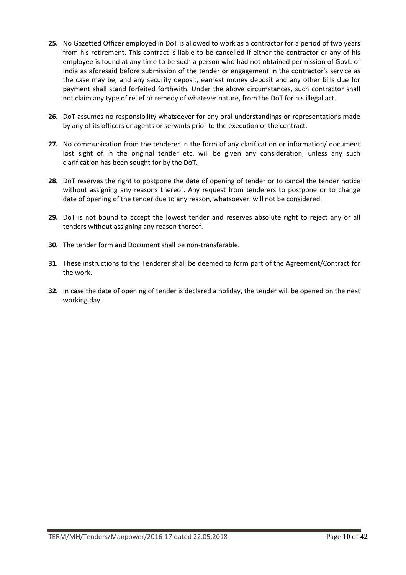- **25.** No Gazetted Officer employed in DoT is allowed to work as a contractor for a period of two years from his retirement. This contract is liable to be cancelled if either the contractor or any of his employee is found at any time to be such a person who had not obtained permission of Govt. of India as aforesaid before submission of the tender or engagement in the contractor's service as the case may be, and any security deposit, earnest money deposit and any other bills due for payment shall stand forfeited forthwith. Under the above circumstances, such contractor shall not claim any type of relief or remedy of whatever nature, from the DoT for his illegal act.
- **26.** DoT assumes no responsibility whatsoever for any oral understandings or representations made by any of its officers or agents or servants prior to the execution of the contract.
- **27.** No communication from the tenderer in the form of any clarification or information/ document lost sight of in the original tender etc. will be given any consideration, unless any such clarification has been sought for by the DoT.
- **28.** DoT reserves the right to postpone the date of opening of tender or to cancel the tender notice without assigning any reasons thereof. Any request from tenderers to postpone or to change date of opening of the tender due to any reason, whatsoever, will not be considered.
- **29.** DoT is not bound to accept the lowest tender and reserves absolute right to reject any or all tenders without assigning any reason thereof.
- **30.** The tender form and Document shall be non-transferable.
- **31.** These instructions to the Tenderer shall be deemed to form part of the Agreement/Contract for the work.
- **32.** In case the date of opening of tender is declared a holiday, the tender will be opened on the next working day.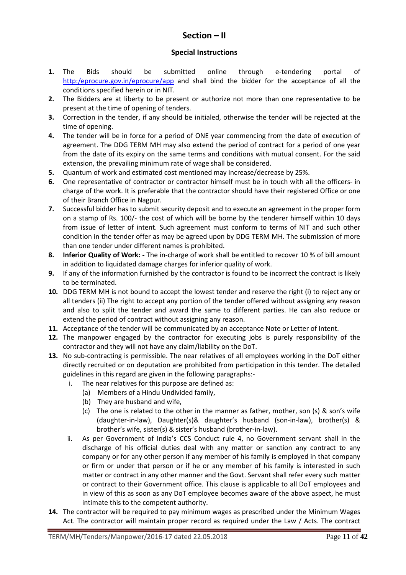# **Section – II**

### **Special Instructions**

- **1.** The Bids should be submitted online through e-tendering portal of http:/eprocure.gov.in/eprocure/app and shall bind the bidder for the acceptance of all the conditions specified herein or in NIT.
- **2.** The Bidders are at liberty to be present or authorize not more than one representative to be present at the time of opening of tenders.
- **3.** Correction in the tender, if any should be initialed, otherwise the tender will be rejected at the time of opening.
- **4.** The tender will be in force for a period of ONE year commencing from the date of execution of agreement. The DDG TERM MH may also extend the period of contract for a period of one year from the date of its expiry on the same terms and conditions with mutual consent. For the said extension, the prevailing minimum rate of wage shall be considered.
- **5.** Quantum of work and estimated cost mentioned may increase/decrease by 25%.
- **6.** One representative of contractor or contractor himself must be in touch with all the officers- in charge of the work. It is preferable that the contractor should have their registered Office or one of their Branch Office in Nagpur.
- **7.** Successful bidder has to submit security deposit and to execute an agreement in the proper form on a stamp of Rs. 100/- the cost of which will be borne by the tenderer himself within 10 days from issue of letter of intent. Such agreement must conform to terms of NIT and such other condition in the tender offer as may be agreed upon by DDG TERM MH. The submission of more than one tender under different names is prohibited.
- **8. Inferior Quality of Work:** The in-charge of work shall be entitled to recover 10 % of bill amount in addition to liquidated damage charges for inferior quality of work.
- **9.** If any of the information furnished by the contractor is found to be incorrect the contract is likely to be terminated.
- **10.** DDG TERM MH is not bound to accept the lowest tender and reserve the right (i) to reject any or all tenders (ii) The right to accept any portion of the tender offered without assigning any reason and also to split the tender and award the same to different parties. He can also reduce or extend the period of contract without assigning any reason.
- **11.** Acceptance of the tender will be communicated by an acceptance Note or Letter of Intent.
- **12.** The manpower engaged by the contractor for executing jobs is purely responsibility of the contractor and they will not have any claim/liability on the DoT.
- **13.** No sub-contracting is permissible. The near relatives of all employees working in the DoT either directly recruited or on deputation are prohibited from participation in this tender. The detailed guidelines in this regard are given in the following paragraphs:
	- i. The near relatives for this purpose are defined as:
		- (a) Members of a Hindu Undivided family,
		- (b) They are husband and wife,
		- (c) The one is related to the other in the manner as father, mother, son (s) & son's wife (daughter-in-law), Daughter(s)& daughter's husband (son-in-law), brother(s) & brother's wife, sister(s) & sister's husband (brother-in-law).
	- ii. As per Government of India's CCS Conduct rule 4, no Government servant shall in the discharge of his official duties deal with any matter or sanction any contract to any company or for any other person if any member of his family is employed in that company or firm or under that person or if he or any member of his family is interested in such matter or contract in any other manner and the Govt. Servant shall refer every such matter or contract to their Government office. This clause is applicable to all DoT employees and in view of this as soon as any DoT employee becomes aware of the above aspect, he must intimate this to the competent authority.
- **14.** The contractor will be required to pay minimum wages as prescribed under the Minimum Wages Act. The contractor will maintain proper record as required under the Law / Acts. The contract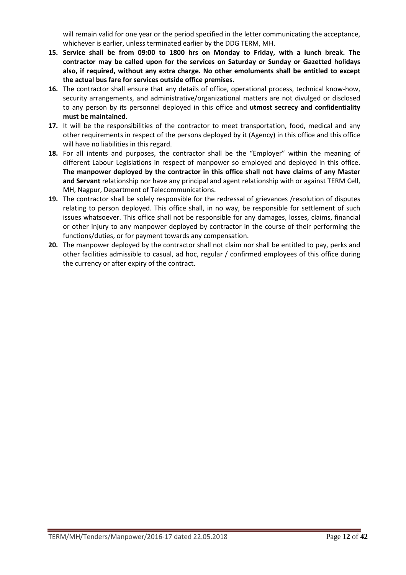will remain valid for one year or the period specified in the letter communicating the acceptance, whichever is earlier, unless terminated earlier by the DDG TERM, MH.

- **15. Service shall be from 09:00 to 1800 hrs on Monday to Friday, with a lunch break. The contractor may be called upon for the services on Saturday or Sunday or Gazetted holidays also, if required, without any extra charge. No other emoluments shall be entitled to except the actual bus fare for services outside office premises.**
- **16.** The contractor shall ensure that any details of office, operational process, technical know-how, security arrangements, and administrative/organizational matters are not divulged or disclosed to any person by its personnel deployed in this office and **utmost secrecy and confidentiality must be maintained.**
- **17.** It will be the responsibilities of the contractor to meet transportation, food, medical and any other requirements in respect of the persons deployed by it (Agency) in this office and this office will have no liabilities in this regard.
- **18.** For all intents and purposes, the contractor shall be the "Employer" within the meaning of different Labour Legislations in respect of manpower so employed and deployed in this office. **The manpower deployed by the contractor in this office shall not have claims of any Master and Servant** relationship nor have any principal and agent relationship with or against TERM Cell, MH, Nagpur, Department of Telecommunications.
- **19.** The contractor shall be solely responsible for the redressal of grievances /resolution of disputes relating to person deployed. This office shall, in no way, be responsible for settlement of such issues whatsoever. This office shall not be responsible for any damages, losses, claims, financial or other injury to any manpower deployed by contractor in the course of their performing the functions/duties, or for payment towards any compensation.
- **20.** The manpower deployed by the contractor shall not claim nor shall be entitled to pay, perks and other facilities admissible to casual, ad hoc, regular / confirmed employees of this office during the currency or after expiry of the contract.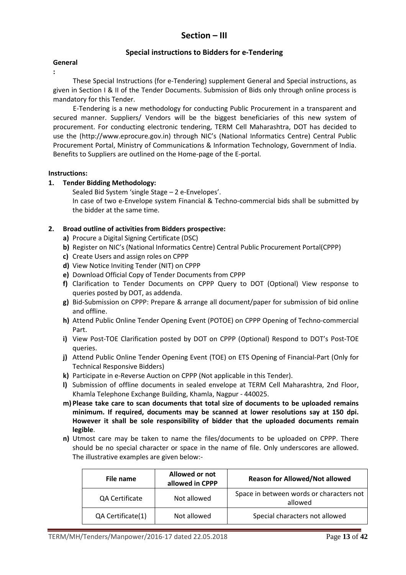# **Section – III**

### **Special instructions to Bidders for e-Tendering**

#### **General**

**:** 

These Special Instructions (for e-Tendering) supplement General and Special instructions, as given in Section I & II of the Tender Documents. Submission of Bids only through online process is mandatory for this Tender.

E-Tendering is a new methodology for conducting Public Procurement in a transparent and secured manner. Suppliers/ Vendors will be the biggest beneficiaries of this new system of procurement. For conducting electronic tendering, TERM Cell Maharashtra, DOT has decided to use the (http://www.eprocure.gov.in) through NIC's (National Informatics Centre) Central Public Procurement Portal, Ministry of Communications & Information Technology, Government of India. Benefits to Suppliers are outlined on the Home-page of the E-portal.

#### **Instructions:**

#### **1. Tender Bidding Methodology:**

Sealed Bid System 'single Stage – 2 e-Envelopes'.

In case of two e-Envelope system Financial & Techno-commercial bids shall be submitted by the bidder at the same time.

### **2. Broad outline of activities from Bidders prospective:**

- **a)** Procure a Digital Signing Certificate (DSC)
- **b)** Register on NIC's (National Informatics Centre) Central Public Procurement Portal(CPPP)
- **c)** Create Users and assign roles on CPPP
- **d)** View Notice Inviting Tender (NIT) on CPPP
- **e)** Download Official Copy of Tender Documents from CPPP
- **f)** Clarification to Tender Documents on CPPP Query to DOT (Optional) View response to queries posted by DOT, as addenda.
- **g)** Bid-Submission on CPPP: Prepare & arrange all document/paper for submission of bid online and offline.
- **h)** Attend Public Online Tender Opening Event (POTOE) on CPPP Opening of Techno-commercial Part.
- **i)** View Post-TOE Clarification posted by DOT on CPPP (Optional) Respond to DOT's Post-TOE queries.
- **j)** Attend Public Online Tender Opening Event (TOE) on ETS Opening of Financial-Part (Only for Technical Responsive Bidders)
- **k)** Participate in e-Reverse Auction on CPPP (Not applicable in this Tender).
- **l)** Submission of offline documents in sealed envelope at TERM Cell Maharashtra, 2nd Floor, Khamla Telephone Exchange Building, Khamla, Nagpur - 440025.
- **m) Please take care to scan documents that total size of documents to be uploaded remains minimum. If required, documents may be scanned at lower resolutions say at 150 dpi. However it shall be sole responsibility of bidder that the uploaded documents remain legible**.
- **n)** Utmost care may be taken to name the files/documents to be uploaded on CPPP. There should be no special character or space in the name of file. Only underscores are allowed. The illustrative examples are given below:-

| File name         | Allowed or not<br>allowed in CPPP | <b>Reason for Allowed/Not allowed</b>               |
|-------------------|-----------------------------------|-----------------------------------------------------|
| QA Certificate    | Not allowed                       | Space in between words or characters not<br>allowed |
| QA Certificate(1) | Not allowed                       | Special characters not allowed                      |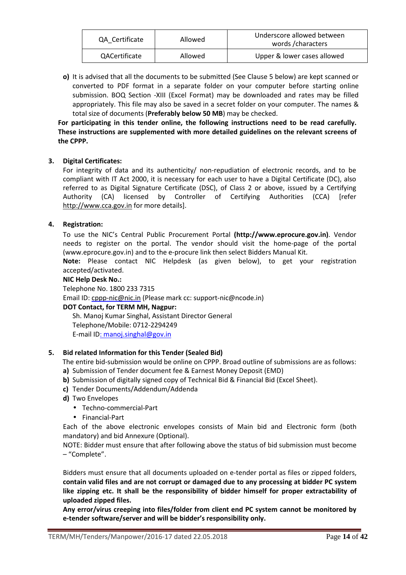| QA Certificate       | Allowed | Underscore allowed between<br>words/characters |
|----------------------|---------|------------------------------------------------|
| <b>QACertificate</b> | Allowed | Upper & lower cases allowed                    |

**o)** It is advised that all the documents to be submitted (See Clause 5 below) are kept scanned or converted to PDF format in a separate folder on your computer before starting online submission. BOQ Section -XIII (Excel Format) may be downloaded and rates may be filled appropriately. This file may also be saved in a secret folder on your computer. The names & total size of documents (**Preferably below 50 MB**) may be checked.

### **For participating in this tender online, the following instructions need to be read carefully. These instructions are supplemented with more detailed guidelines on the relevant screens of the CPPP.**

### **3. Digital Certificates:**

For integrity of data and its authenticity/ non-repudiation of electronic records, and to be compliant with IT Act 2000, it is necessary for each user to have a Digital Certificate (DC), also referred to as Digital Signature Certificate (DSC), of Class 2 or above, issued by a Certifying Authority (CA) licensed by Controller of Certifying Authorities (CCA) [refer http://www.cca.gov.in for more details].

### **4. Registration:**

To use the NIC's Central Public Procurement Portal **(http://www.eprocure.gov.in)**. Vendor needs to register on the portal. The vendor should visit the home-page of the portal (www.eprocure.gov.in) and to the e-procure link then select Bidders Manual Kit.

**Note:** Please contact NIC Helpdesk (as given below), to get your registration accepted/activated.

#### **NIC Help Desk No.:**

Telephone No. 1800 233 7315

Email ID: cppp-nic@nic.in (Please mark cc: support-nic@ncode.in)

### **DOT Contact, for TERM MH, Nagpur:**

Sh. Manoj Kumar Singhal, Assistant Director General Telephone/Mobile: 0712-2294249 E-mail ID: manoj.singhal@gov.in

#### **5. Bid related Information for this Tender (Sealed Bid)**

The entire bid-submission would be online on CPPP. Broad outline of submissions are as follows:

- **a)** Submission of Tender document fee & Earnest Money Deposit (EMD)
- **b)** Submission of digitally signed copy of Technical Bid & Financial Bid (Excel Sheet).
- **c)** Tender Documents/Addendum/Addenda
- **d)** Two Envelopes
	- Techno-commercial-Part
	- Financial-Part

Each of the above electronic envelopes consists of Main bid and Electronic form (both mandatory) and bid Annexure (Optional).

NOTE: Bidder must ensure that after following above the status of bid submission must become – "Complete".

Bidders must ensure that all documents uploaded on e-tender portal as files or zipped folders, **contain valid files and are not corrupt or damaged due to any processing at bidder PC system like zipping etc. It shall be the responsibility of bidder himself for proper extractability of uploaded zipped files.** 

**Any error/virus creeping into files/folder from client end PC system cannot be monitored by e-tender software/server and will be bidder's responsibility only.**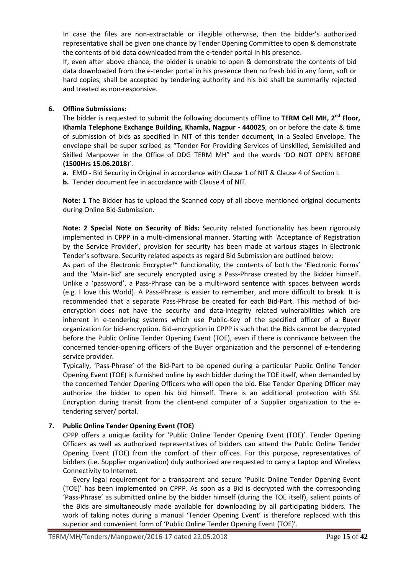In case the files are non-extractable or illegible otherwise, then the bidder's authorized representative shall be given one chance by Tender Opening Committee to open & demonstrate the contents of bid data downloaded from the e-tender portal in his presence.

If, even after above chance, the bidder is unable to open & demonstrate the contents of bid data downloaded from the e-tender portal in his presence then no fresh bid in any form, soft or hard copies, shall be accepted by tendering authority and his bid shall be summarily rejected and treated as non-responsive.

### **6. Offline Submissions:**

The bidder is requested to submit the following documents offline to **TERM Cell MH, 2nd Floor, Khamla Telephone Exchange Building, Khamla, Nagpur - 440025**, on or before the date & time of submission of bids as specified in NIT of this tender document, in a Sealed Envelope. The envelope shall be super scribed as "Tender For Providing Services of Unskilled, Semiskilled and Skilled Manpower in the Office of DDG TERM MH" and the words 'DO NOT OPEN BEFORE **(1500Hrs 15.06.2018**)'.

- **a.** EMD Bid Security in Original in accordance with Clause 1 of NIT & Clause 4 of Section I.
- **b.** Tender document fee in accordance with Clause 4 of NIT.

**Note: 1** The Bidder has to upload the Scanned copy of all above mentioned original documents during Online Bid-Submission.

**Note: 2 Special Note on Security of Bids:** Security related functionality has been rigorously implemented in CPPP in a multi-dimensional manner. Starting with 'Acceptance of Registration by the Service Provider', provision for security has been made at various stages in Electronic Tender's software. Security related aspects as regard Bid Submission are outlined below:

As part of the Electronic Encrypter™ functionality, the contents of both the 'Electronic Forms' and the 'Main-Bid' are securely encrypted using a Pass-Phrase created by the Bidder himself. Unlike a 'password', a Pass-Phrase can be a multi-word sentence with spaces between words (e.g. I love this World). A Pass-Phrase is easier to remember, and more difficult to break. It is recommended that a separate Pass-Phrase be created for each Bid-Part. This method of bidencryption does not have the security and data-integrity related vulnerabilities which are inherent in e-tendering systems which use Public-Key of the specified officer of a Buyer organization for bid-encryption. Bid-encryption in CPPP is such that the Bids cannot be decrypted before the Public Online Tender Opening Event (TOE), even if there is connivance between the concerned tender-opening officers of the Buyer organization and the personnel of e-tendering service provider.

Typically, 'Pass-Phrase' of the Bid-Part to be opened during a particular Public Online Tender Opening Event (TOE) is furnished online by each bidder during the TOE itself, when demanded by the concerned Tender Opening Officers who will open the bid. Else Tender Opening Officer may authorize the bidder to open his bid himself. There is an additional protection with SSL Encryption during transit from the client-end computer of a Supplier organization to the etendering server/ portal.

### **7. Public Online Tender Opening Event (TOE)**

CPPP offers a unique facility for 'Public Online Tender Opening Event (TOE)'. Tender Opening Officers as well as authorized representatives of bidders can attend the Public Online Tender Opening Event (TOE) from the comfort of their offices. For this purpose, representatives of bidders (i.e. Supplier organization) duly authorized are requested to carry a Laptop and Wireless Connectivity to Internet.

Every legal requirement for a transparent and secure 'Public Online Tender Opening Event (TOE)' has been implemented on CPPP. As soon as a Bid is decrypted with the corresponding 'Pass-Phrase' as submitted online by the bidder himself (during the TOE itself), salient points of the Bids are simultaneously made available for downloading by all participating bidders. The work of taking notes during a manual 'Tender Opening Event' is therefore replaced with this superior and convenient form of 'Public Online Tender Opening Event (TOE)'.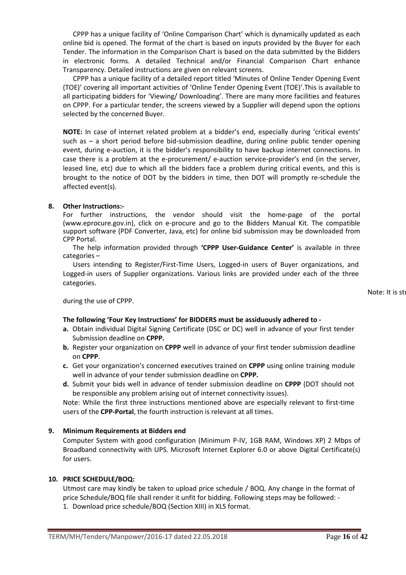CPPP has a unique facility of 'Online Comparison Chart' which is dynamically updated as each online bid is opened. The format of the chart is based on inputs provided by the Buyer for each Tender. The information in the Comparison Chart is based on the data submitted by the Bidders in electronic forms. A detailed Technical and/or Financial Comparison Chart enhance Transparency. Detailed instructions are given on relevant screens.

CPPP has a unique facility of a detailed report titled 'Minutes of Online Tender Opening Event (TOE)' covering all important activities of 'Online Tender Opening Event (TOE)'.This is available to all participating bidders for 'Viewing/ Downloading'. There are many more facilities and features on CPPP. For a particular tender, the screens viewed by a Supplier will depend upon the options selected by the concerned Buyer.

**NOTE:** In case of internet related problem at a bidder's end, especially during 'critical events' such as – a short period before bid-submission deadline, during online public tender opening event, during e-auction, it is the bidder's responsibility to have backup internet connections. In case there is a problem at the e-procurement/ e-auction service-provider's end (in the server, leased line, etc) due to which all the bidders face a problem during critical events, and this is brought to the notice of DOT by the bidders in time, then DOT will promptly re-schedule the affected event(s).

#### **8. Other Instructions:-**

For further instructions, the vendor should visit the home-page of the portal (www.eprocure.gov.in), click on e-procure and go to the Bidders Manual Kit. The compatible support software (PDF Converter, Java, etc) for online bid submission may be downloaded from CPP Portal.

The help information provided through **'CPPP User-Guidance Center'** is available in three categories –

Users intending to Register/First-Time Users, Logged-in users of Buyer organizations, and Logged-in users of Supplier organizations. Various links are provided under each of the three categories.

Note: It is str

during the use of CPPP.

### **The following 'Four Key Instructions' for BIDDERS must be assiduously adhered to -**

- **a.** Obtain individual Digital Signing Certificate (DSC or DC) well in advance of your first tender Submission deadline on **CPPP.**
- **b.** Register your organization on **CPPP** well in advance of your first tender submission deadline on **CPPP**.
- **c.** Get your organization's concerned executives trained on **CPPP** using online training module well in advance of your tender submission deadline on **CPPP.**
- **d.** Submit your bids well in advance of tender submission deadline on **CPPP** (DOT should not be responsible any problem arising out of internet connectivity issues).

Note: While the first three instructions mentioned above are especially relevant to first-time users of the **CPP-Portal**, the fourth instruction is relevant at all times.

#### **9. Minimum Requirements at Bidders end**

Computer System with good configuration (Minimum P-IV, 1GB RAM, Windows XP) 2 Mbps of Broadband connectivity with UPS. Microsoft Internet Explorer 6.0 or above Digital Certificate(s) for users.

#### **10. PRICE SCHEDULE/BOQ:**

Utmost care may kindly be taken to upload price schedule / BOQ. Any change in the format of price Schedule/BOQ file shall render it unfit for bidding. Following steps may be followed: -

1. Download price schedule/BOQ (Section XIII) in XLS format.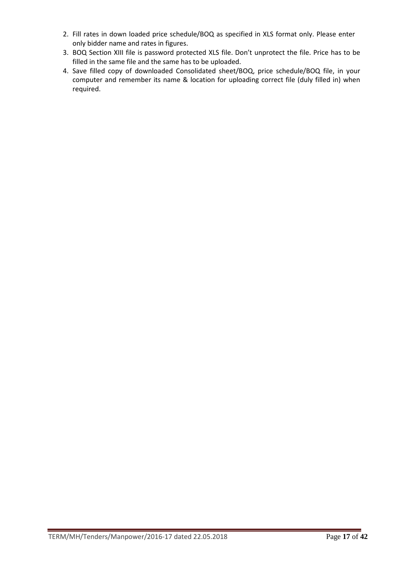- 2. Fill rates in down loaded price schedule/BOQ as specified in XLS format only. Please enter only bidder name and rates in figures.
- 3. BOQ Section XIII file is password protected XLS file. Don't unprotect the file. Price has to be filled in the same file and the same has to be uploaded.
- 4. Save filled copy of downloaded Consolidated sheet/BOQ, price schedule/BOQ file, in your computer and remember its name & location for uploading correct file (duly filled in) when required.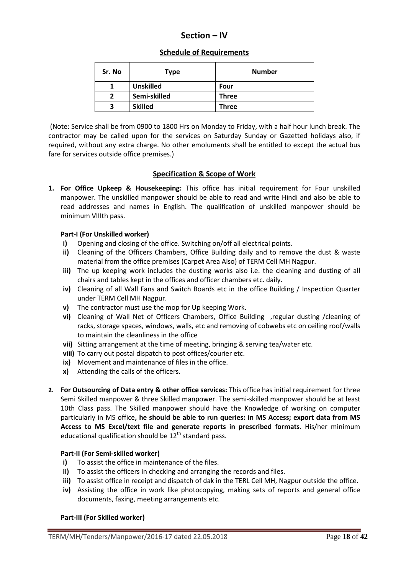# **Section – IV**

### **Schedule of Requirements**

| Sr. No | Type             | <b>Number</b> |
|--------|------------------|---------------|
|        | <b>Unskilled</b> | Four          |
| 2      | Semi-skilled     | <b>Three</b>  |
| з      | <b>Skilled</b>   | <b>Three</b>  |

 (Note: Service shall be from 0900 to 1800 Hrs on Monday to Friday, with a half hour lunch break. The contractor may be called upon for the services on Saturday Sunday or Gazetted holidays also, if required, without any extra charge. No other emoluments shall be entitled to except the actual bus fare for services outside office premises.)

### **Specification & Scope of Work**

**1. For Office Upkeep & Housekeeping:** This office has initial requirement for Four unskilled manpower. The unskilled manpower should be able to read and write Hindi and also be able to read addresses and names in English. The qualification of unskilled manpower should be minimum VIIIth pass.

#### **Part-I (For Unskilled worker)**

- **i)** Opening and closing of the office. Switching on/off all electrical points.
- **ii)** Cleaning of the Officers Chambers, Office Building daily and to remove the dust & waste material from the office premises (Carpet Area Also) of TERM Cell MH Nagpur.
- **iii)** The up keeping work includes the dusting works also i.e. the cleaning and dusting of all chairs and tables kept in the offices and officer chambers etc. daily.
- **iv)** Cleaning of all Wall Fans and Switch Boards etc in the office Building / Inspection Quarter under TERM Cell MH Nagpur.
- **v)** The contractor must use the mop for Up keeping Work.
- **vi)** Cleaning of Wall Net of Officers Chambers, Office Building ,regular dusting /cleaning of racks, storage spaces, windows, walls, etc and removing of cobwebs etc on ceiling roof/walls to maintain the cleanliness in the office
- **vii)** Sitting arrangement at the time of meeting, bringing & serving tea/water etc.
- **viii)** To carry out postal dispatch to post offices/courier etc.
- **ix)** Movement and maintenance of files in the office.
- **x)** Attending the calls of the officers.
- **2. For Outsourcing of Data entry & other office services:** This office has initial requirement for three Semi Skilled manpower & three Skilled manpower. The semi-skilled manpower should be at least 10th Class pass. The Skilled manpower should have the Knowledge of working on computer particularly in MS office**, he should be able to run queries: in MS Access; export data from MS Access to MS Excel/text file and generate reports in prescribed formats**. His/her minimum educational qualification should be  $12<sup>th</sup>$  standard pass.

#### **Part-II (For Semi-skilled worker)**

- **i)** To assist the office in maintenance of the files.
- **ii)** To assist the officers in checking and arranging the records and files.
- **iii)** To assist office in receipt and dispatch of dak in the TERL Cell MH, Nagpur outside the office.
- **iv)** Assisting the office in work like photocopying, making sets of reports and general office documents, faxing, meeting arrangements etc.

#### **Part-III (For Skilled worker)**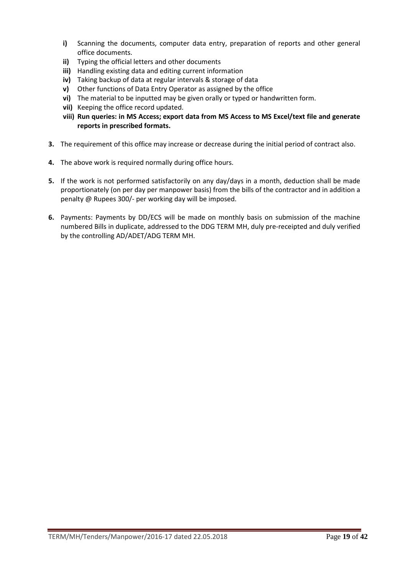- **i)** Scanning the documents, computer data entry, preparation of reports and other general office documents.
- **ii)** Typing the official letters and other documents
- **iii)** Handling existing data and editing current information
- **iv)** Taking backup of data at regular intervals & storage of data
- **v)** Other functions of Data Entry Operator as assigned by the office
- **vi)** The material to be inputted may be given orally or typed or handwritten form.
- **vii)** Keeping the office record updated.
- **viii) Run queries: in MS Access; export data from MS Access to MS Excel/text file and generate reports in prescribed formats.**
- **3.** The requirement of this office may increase or decrease during the initial period of contract also.
- **4.** The above work is required normally during office hours.
- **5.** If the work is not performed satisfactorily on any day/days in a month, deduction shall be made proportionately (on per day per manpower basis) from the bills of the contractor and in addition a penalty @ Rupees 300/- per working day will be imposed.
- **6.** Payments: Payments by DD/ECS will be made on monthly basis on submission of the machine numbered Bills in duplicate, addressed to the DDG TERM MH, duly pre-receipted and duly verified by the controlling AD/ADET/ADG TERM MH.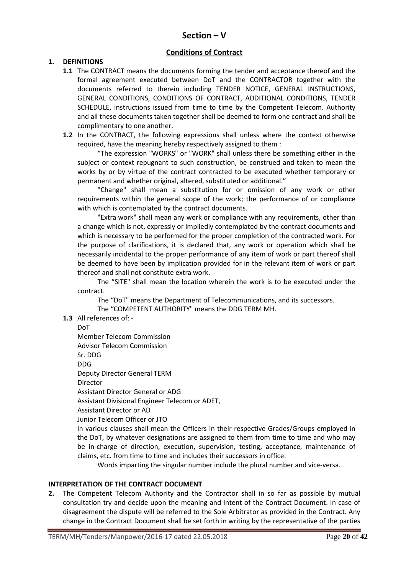# **Section – V**

### **Conditions of Contract**

### **1. DEFINITIONS**

- **1.1** The CONTRACT means the documents forming the tender and acceptance thereof and the formal agreement executed between DoT and the CONTRACTOR together with the documents referred to therein including TENDER NOTICE, GENERAL INSTRUCTIONS, GENERAL CONDITIONS, CONDITIONS OF CONTRACT, ADDITIONAL CONDITIONS, TENDER SCHEDULE, instructions issued from time to time by the Competent Telecom. Authority and all these documents taken together shall be deemed to form one contract and shall be complimentary to one another.
- **1.2** In the CONTRACT, the following expressions shall unless where the context otherwise required, have the meaning hereby respectively assigned to them :

 "The expression "WORKS" or "WORK" shall unless there be something either in the subject or context repugnant to such construction, be construed and taken to mean the works by or by virtue of the contract contracted to be executed whether temporary or permanent and whether original, altered, substituted or additional."

 "Change" shall mean a substitution for or omission of any work or other requirements within the general scope of the work; the performance of or compliance with which is contemplated by the contract documents.

 "Extra work" shall mean any work or compliance with any requirements, other than a change which is not, expressly or impliedly contemplated by the contract documents and which is necessary to be performed for the proper completion of the contracted work. For the purpose of clarifications, it is declared that, any work or operation which shall be necessarily incidental to the proper performance of any item of work or part thereof shall be deemed to have been by implication provided for in the relevant item of work or part thereof and shall not constitute extra work.

 The "SITE" shall mean the location wherein the work is to be executed under the contract.

 The "DoT" means the Department of Telecommunications, and its successors. The "COMPETENT AUTHORITY" means the DDG TERM MH.

**1.3** All references of: -

DoT

Member Telecom Commission Advisor Telecom Commission

Sr. DDG

DDG

Deputy Director General TERM

Director

Assistant Director General or ADG

Assistant Divisional Engineer Telecom or ADET,

Assistant Director or AD

Junior Telecom Officer or JTO

in various clauses shall mean the Officers in their respective Grades/Groups employed in the DoT, by whatever designations are assigned to them from time to time and who may be in-charge of direction, execution, supervision, testing, acceptance, maintenance of claims, etc. from time to time and includes their successors in office.

Words imparting the singular number include the plural number and vice-versa.

#### **INTERPRETATION OF THE CONTRACT DOCUMENT**

**2.** The Competent Telecom Authority and the Contractor shall in so far as possible by mutual consultation try and decide upon the meaning and intent of the Contract Document. In case of disagreement the dispute will be referred to the Sole Arbitrator as provided in the Contract. Any change in the Contract Document shall be set forth in writing by the representative of the parties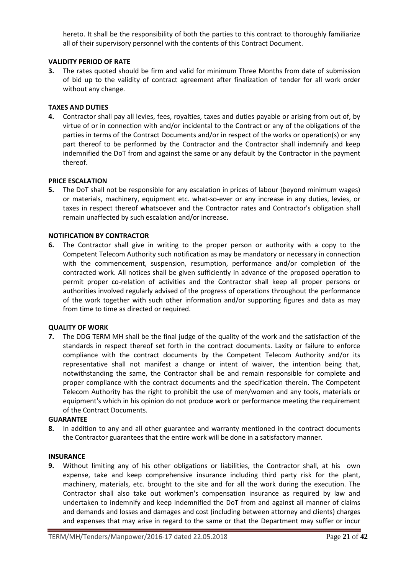hereto. It shall be the responsibility of both the parties to this contract to thoroughly familiarize all of their supervisory personnel with the contents of this Contract Document.

### **VALIDITY PERIOD OF RATE**

**3.** The rates quoted should be firm and valid for minimum Three Months from date of submission of bid up to the validity of contract agreement after finalization of tender for all work order without any change.

#### **TAXES AND DUTIES**

**4.** Contractor shall pay all levies, fees, royalties, taxes and duties payable or arising from out of, by virtue of or in connection with and/or incidental to the Contract or any of the obligations of the parties in terms of the Contract Documents and/or in respect of the works or operation(s) or any part thereof to be performed by the Contractor and the Contractor shall indemnify and keep indemnified the DoT from and against the same or any default by the Contractor in the payment thereof.

#### **PRICE ESCALATION**

**5.** The DoT shall not be responsible for any escalation in prices of labour (beyond minimum wages) or materials, machinery, equipment etc. what-so-ever or any increase in any duties, levies, or taxes in respect thereof whatsoever and the Contractor rates and Contractor's obligation shall remain unaffected by such escalation and/or increase.

#### **NOTIFICATION BY CONTRACTOR**

**6.** The Contractor shall give in writing to the proper person or authority with a copy to the Competent Telecom Authority such notification as may be mandatory or necessary in connection with the commencement, suspension, resumption, performance and/or completion of the contracted work. All notices shall be given sufficiently in advance of the proposed operation to permit proper co-relation of activities and the Contractor shall keep all proper persons or authorities involved regularly advised of the progress of operations throughout the performance of the work together with such other information and/or supporting figures and data as may from time to time as directed or required.

#### **QUALITY OF WORK**

**7.** The DDG TERM MH shall be the final judge of the quality of the work and the satisfaction of the standards in respect thereof set forth in the contract documents. Laxity or failure to enforce compliance with the contract documents by the Competent Telecom Authority and/or its representative shall not manifest a change or intent of waiver, the intention being that, notwithstanding the same, the Contractor shall be and remain responsible for complete and proper compliance with the contract documents and the specification therein. The Competent Telecom Authority has the right to prohibit the use of men/women and any tools, materials or equipment's which in his opinion do not produce work or performance meeting the requirement of the Contract Documents.

#### **GUARANTEE**

**8.** In addition to any and all other guarantee and warranty mentioned in the contract documents the Contractor guarantees that the entire work will be done in a satisfactory manner.

#### **INSURANCE**

**9.** Without limiting any of his other obligations or liabilities, the Contractor shall, at his own expense, take and keep comprehensive insurance including third party risk for the plant, machinery, materials, etc. brought to the site and for all the work during the execution. The Contractor shall also take out workmen's compensation insurance as required by law and undertaken to indemnify and keep indemnified the DoT from and against all manner of claims and demands and losses and damages and cost (including between attorney and clients) charges and expenses that may arise in regard to the same or that the Department may suffer or incur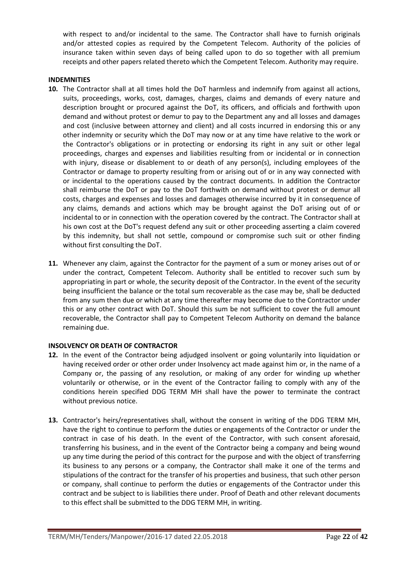with respect to and/or incidental to the same. The Contractor shall have to furnish originals and/or attested copies as required by the Competent Telecom. Authority of the policies of insurance taken within seven days of being called upon to do so together with all premium receipts and other papers related thereto which the Competent Telecom. Authority may require.

#### **INDEMNITIES**

- **10.** The Contractor shall at all times hold the DoT harmless and indemnify from against all actions, suits, proceedings, works, cost, damages, charges, claims and demands of every nature and description brought or procured against the DoT, its officers, and officials and forthwith upon demand and without protest or demur to pay to the Department any and all losses and damages and cost (inclusive between attorney and client) and all costs incurred in endorsing this or any other indemnity or security which the DoT may now or at any time have relative to the work or the Contractor's obligations or in protecting or endorsing its right in any suit or other legal proceedings, charges and expenses and liabilities resulting from or incidental or in connection with injury, disease or disablement to or death of any person(s), including employees of the Contractor or damage to property resulting from or arising out of or in any way connected with or incidental to the operations caused by the contract documents. In addition the Contractor shall reimburse the DoT or pay to the DoT forthwith on demand without protest or demur all costs, charges and expenses and losses and damages otherwise incurred by it in consequence of any claims, demands and actions which may be brought against the DoT arising out of or incidental to or in connection with the operation covered by the contract. The Contractor shall at his own cost at the DoT's request defend any suit or other proceeding asserting a claim covered by this indemnity, but shall not settle, compound or compromise such suit or other finding without first consulting the DoT.
- **11.** Whenever any claim, against the Contractor for the payment of a sum or money arises out of or under the contract, Competent Telecom. Authority shall be entitled to recover such sum by appropriating in part or whole, the security deposit of the Contractor. In the event of the security being insufficient the balance or the total sum recoverable as the case may be, shall be deducted from any sum then due or which at any time thereafter may become due to the Contractor under this or any other contract with DoT. Should this sum be not sufficient to cover the full amount recoverable, the Contractor shall pay to Competent Telecom Authority on demand the balance remaining due.

### **INSOLVENCY OR DEATH OF CONTRACTOR**

- **12.** In the event of the Contractor being adjudged insolvent or going voluntarily into liquidation or having received order or other order under Insolvency act made against him or, in the name of a Company or, the passing of any resolution, or making of any order for winding up whether voluntarily or otherwise, or in the event of the Contractor failing to comply with any of the conditions herein specified DDG TERM MH shall have the power to terminate the contract without previous notice.
- **13.** Contractor's heirs/representatives shall, without the consent in writing of the DDG TERM MH, have the right to continue to perform the duties or engagements of the Contractor or under the contract in case of his death. In the event of the Contractor, with such consent aforesaid, transferring his business, and in the event of the Contractor being a company and being wound up any time during the period of this contract for the purpose and with the object of transferring its business to any persons or a company, the Contractor shall make it one of the terms and stipulations of the contract for the transfer of his properties and business, that such other person or company, shall continue to perform the duties or engagements of the Contractor under this contract and be subject to is liabilities there under. Proof of Death and other relevant documents to this effect shall be submitted to the DDG TERM MH, in writing.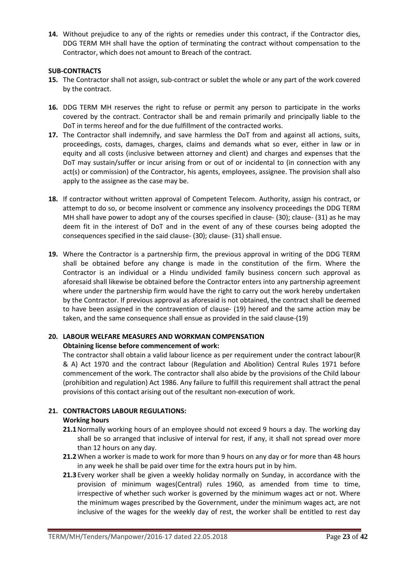**14.** Without prejudice to any of the rights or remedies under this contract, if the Contractor dies, DDG TERM MH shall have the option of terminating the contract without compensation to the Contractor, which does not amount to Breach of the contract.

### **SUB-CONTRACTS**

- **15.** The Contractor shall not assign, sub-contract or sublet the whole or any part of the work covered by the contract.
- **16.** DDG TERM MH reserves the right to refuse or permit any person to participate in the works covered by the contract. Contractor shall be and remain primarily and principally liable to the DoT in terms hereof and for the due fulfillment of the contracted works.
- **17.** The Contractor shall indemnify, and save harmless the DoT from and against all actions, suits, proceedings, costs, damages, charges, claims and demands what so ever, either in law or in equity and all costs (inclusive between attorney and client) and charges and expenses that the DoT may sustain/suffer or incur arising from or out of or incidental to (in connection with any act(s) or commission) of the Contractor, his agents, employees, assignee. The provision shall also apply to the assignee as the case may be.
- **18.** If contractor without written approval of Competent Telecom. Authority, assign his contract, or attempt to do so, or become insolvent or commence any insolvency proceedings the DDG TERM MH shall have power to adopt any of the courses specified in clause- (30); clause- (31) as he may deem fit in the interest of DoT and in the event of any of these courses being adopted the consequences specified in the said clause- (30); clause- (31) shall ensue.
- **19.** Where the Contractor is a partnership firm, the previous approval in writing of the DDG TERM shall be obtained before any change is made in the constitution of the firm. Where the Contractor is an individual or a Hindu undivided family business concern such approval as aforesaid shall likewise be obtained before the Contractor enters into any partnership agreement where under the partnership firm would have the right to carry out the work hereby undertaken by the Contractor. If previous approval as aforesaid is not obtained, the contract shall be deemed to have been assigned in the contravention of clause- (19) hereof and the same action may be taken, and the same consequence shall ensue as provided in the said clause-(19)

### **20. LABOUR WELFARE MEASURES AND WORKMAN COMPENSATION**

#### **Obtaining license before commencement of work:**

The contractor shall obtain a valid labour licence as per requirement under the contract labour(R & A) Act 1970 and the contract labour (Regulation and Abolition) Central Rules 1971 before commencement of the work. The contractor shall also abide by the provisions of the Child labour (prohibition and regulation) Act 1986. Any failure to fulfill this requirement shall attract the penal provisions of this contact arising out of the resultant non-execution of work.

### **21. CONTRACTORS LABOUR REGULATIONS:**

#### **Working hours**

- **21.1**Normally working hours of an employee should not exceed 9 hours a day. The working day shall be so arranged that inclusive of interval for rest, if any, it shall not spread over more than 12 hours on any day.
- **21.2**When a worker is made to work for more than 9 hours on any day or for more than 48 hours in any week he shall be paid over time for the extra hours put in by him.
- **21.3** Every worker shall be given a weekly holiday normally on Sunday, in accordance with the provision of minimum wages(Central) rules 1960, as amended from time to time, irrespective of whether such worker is governed by the minimum wages act or not. Where the minimum wages prescribed by the Government, under the minimum wages act, are not inclusive of the wages for the weekly day of rest, the worker shall be entitled to rest day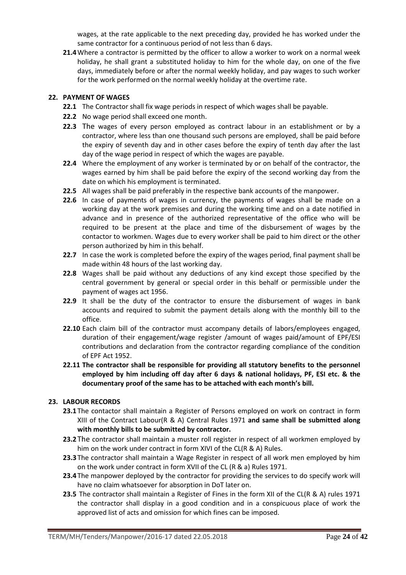wages, at the rate applicable to the next preceding day, provided he has worked under the same contractor for a continuous period of not less than 6 days.

**21.4**Where a contractor is permitted by the officer to allow a worker to work on a normal week holiday, he shall grant a substituted holiday to him for the whole day, on one of the five days, immediately before or after the normal weekly holiday, and pay wages to such worker for the work performed on the normal weekly holiday at the overtime rate.

### **22. PAYMENT OF WAGES**

- **22.1** The Contractor shall fix wage periods in respect of which wages shall be payable.
- **22.2** No wage period shall exceed one month.
- **22.3** The wages of every person employed as contract labour in an establishment or by a contractor, where less than one thousand such persons are employed, shall be paid before the expiry of seventh day and in other cases before the expiry of tenth day after the last day of the wage period in respect of which the wages are payable.
- **22.4** Where the employment of any worker is terminated by or on behalf of the contractor, the wages earned by him shall be paid before the expiry of the second working day from the date on which his employment is terminated.
- **22.5** All wages shall be paid preferably in the respective bank accounts of the manpower.
- **22.6** In case of payments of wages in currency, the payments of wages shall be made on a working day at the work premises and during the working time and on a date notified in advance and in presence of the authorized representative of the office who will be required to be present at the place and time of the disbursement of wages by the contactor to workmen. Wages due to every worker shall be paid to him direct or the other person authorized by him in this behalf.
- **22.7** In case the work is completed before the expiry of the wages period, final payment shall be made within 48 hours of the last working day.
- **22.8** Wages shall be paid without any deductions of any kind except those specified by the central government by general or special order in this behalf or permissible under the payment of wages act 1956.
- **22.9** It shall be the duty of the contractor to ensure the disbursement of wages in bank accounts and required to submit the payment details along with the monthly bill to the office.
- **22.10** Each claim bill of the contractor must accompany details of labors/employees engaged, duration of their engagement/wage register /amount of wages paid/amount of EPF/ESI contributions and declaration from the contractor regarding compliance of the condition of EPF Act 1952.
- **22.11 The contractor shall be responsible for providing all statutory benefits to the personnel employed by him including off day after 6 days & national holidays, PF, ESI etc. & the documentary proof of the same has to be attached with each month's bill.**

#### **23. LABOUR RECORDS**

- **23.1** The contactor shall maintain a Register of Persons employed on work on contract in form XIII of the Contract Labour(R & A) Central Rules 1971 **and same shall be submitted along with monthly bills to be submitted by contractor.**
- **23.2** The contractor shall maintain a muster roll register in respect of all workmen employed by him on the work under contract in form XIVI of the CL(R & A) Rules.
- **23.3** The contractor shall maintain a Wage Register in respect of all work men employed by him on the work under contract in form XVII of the CL (R & a) Rules 1971.
- **23.4** The manpower deployed by the contractor for providing the services to do specify work will have no claim whatsoever for absorption in DoT later on.
- **23.5** The contractor shall maintain a Register of Fines in the form XII of the CL(R & A) rules 1971 the contractor shall display in a good condition and in a conspicuous place of work the approved list of acts and omission for which fines can be imposed.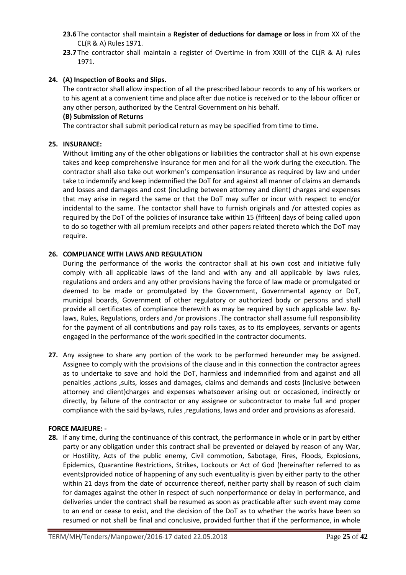- **23.6** The contactor shall maintain a **Register of deductions for damage or loss** in from XX of the CL(R & A) Rules 1971.
- **23.7** The contractor shall maintain a register of Overtime in from XXIII of the CL(R & A) rules 1971.

### **24. (A) Inspection of Books and Slips.**

 The contractor shall allow inspection of all the prescribed labour records to any of his workers or to his agent at a convenient time and place after due notice is received or to the labour officer or any other person, authorized by the Central Government on his behalf.

#### **(B) Submission of Returns**

The contractor shall submit periodical return as may be specified from time to time.

### **25. INSURANCE:**

 Without limiting any of the other obligations or liabilities the contractor shall at his own expense takes and keep comprehensive insurance for men and for all the work during the execution. The contractor shall also take out workmen's compensation insurance as required by law and under take to indemnify and keep indemnified the DoT for and against all manner of claims an demands and losses and damages and cost (including between attorney and client) charges and expenses that may arise in regard the same or that the DoT may suffer or incur with respect to end/or incidental to the same. The contactor shall have to furnish originals and /or attested copies as required by the DoT of the policies of insurance take within 15 (fifteen) days of being called upon to do so together with all premium receipts and other papers related thereto which the DoT may require.

### **26. COMPLIANCE WITH LAWS AND REGULATION**

During the performance of the works the contractor shall at his own cost and initiative fully comply with all applicable laws of the land and with any and all applicable by laws rules, regulations and orders and any other provisions having the force of law made or promulgated or deemed to be made or promulgated by the Government, Governmental agency or DoT, municipal boards, Government of other regulatory or authorized body or persons and shall provide all certificates of compliance therewith as may be required by such applicable law. Bylaws, Rules, Regulations, orders and /or provisions .The contractor shall assume full responsibility for the payment of all contributions and pay rolls taxes, as to its employees, servants or agents engaged in the performance of the work specified in the contractor documents.

**27.** Any assignee to share any portion of the work to be performed hereunder may be assigned. Assignee to comply with the provisions of the clause and in this connection the contractor agrees as to undertake to save and hold the DoT, harmless and indemnified from and against and all penalties ,actions ,suits, losses and damages, claims and demands and costs (inclusive between attorney and client)charges and expenses whatsoever arising out or occasioned, indirectly or directly, by failure of the contractor or any assignee or subcontractor to make full and proper compliance with the said by-laws, rules ,regulations, laws and order and provisions as aforesaid.

#### **FORCE MAJEURE: -**

**28.** If any time, during the continuance of this contract, the performance in whole or in part by either party or any obligation under this contract shall be prevented or delayed by reason of any War, or Hostility, Acts of the public enemy, Civil commotion, Sabotage, Fires, Floods, Explosions, Epidemics, Quarantine Restrictions, Strikes, Lockouts or Act of God (hereinafter referred to as events)provided notice of happening of any such eventuality is given by either party to the other within 21 days from the date of occurrence thereof, neither party shall by reason of such claim for damages against the other in respect of such nonperformance or delay in performance, and deliveries under the contract shall be resumed as soon as practicable after such event may come to an end or cease to exist, and the decision of the DoT as to whether the works have been so resumed or not shall be final and conclusive, provided further that if the performance, in whole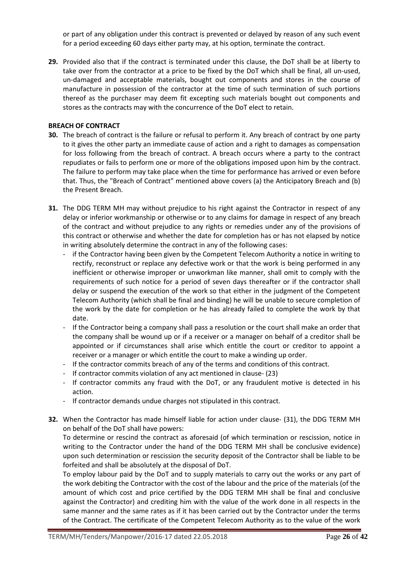or part of any obligation under this contract is prevented or delayed by reason of any such event for a period exceeding 60 days either party may, at his option, terminate the contract.

**29.** Provided also that if the contract is terminated under this clause, the DoT shall be at liberty to take over from the contractor at a price to be fixed by the DoT which shall be final, all un-used, un-damaged and acceptable materials, bought out components and stores in the course of manufacture in possession of the contractor at the time of such termination of such portions thereof as the purchaser may deem fit excepting such materials bought out components and stores as the contracts may with the concurrence of the DoT elect to retain.

#### **BREACH OF CONTRACT**

- **30.** The breach of contract is the failure or refusal to perform it. Any breach of contract by one party to it gives the other party an immediate cause of action and a right to damages as compensation for loss following from the breach of contract. A breach occurs where a party to the contract repudiates or fails to perform one or more of the obligations imposed upon him by the contract. The failure to perform may take place when the time for performance has arrived or even before that. Thus, the "Breach of Contract" mentioned above covers (a) the Anticipatory Breach and (b) the Present Breach.
- **31.** The DDG TERM MH may without prejudice to his right against the Contractor in respect of any delay or inferior workmanship or otherwise or to any claims for damage in respect of any breach of the contract and without prejudice to any rights or remedies under any of the provisions of this contract or otherwise and whether the date for completion has or has not elapsed by notice in writing absolutely determine the contract in any of the following cases:
	- if the Contractor having been given by the Competent Telecom Authority a notice in writing to rectify, reconstruct or replace any defective work or that the work is being performed in any inefficient or otherwise improper or unworkman like manner, shall omit to comply with the requirements of such notice for a period of seven days thereafter or if the contractor shall delay or suspend the execution of the work so that either in the judgment of the Competent Telecom Authority (which shall be final and binding) he will be unable to secure completion of the work by the date for completion or he has already failed to complete the work by that date.
	- If the Contractor being a company shall pass a resolution or the court shall make an order that the company shall be wound up or if a receiver or a manager on behalf of a creditor shall be appointed or if circumstances shall arise which entitle the court or creditor to appoint a receiver or a manager or which entitle the court to make a winding up order.
	- If the contractor commits breach of any of the terms and conditions of this contract.
	- If contractor commits violation of any act mentioned in clause- (23)
	- If contractor commits any fraud with the DoT, or any fraudulent motive is detected in his action.
	- If contractor demands undue charges not stipulated in this contract.
- **32.** When the Contractor has made himself liable for action under clause- (31), the DDG TERM MH on behalf of the DoT shall have powers:

To determine or rescind the contract as aforesaid (of which termination or rescission, notice in writing to the Contractor under the hand of the DDG TERM MH shall be conclusive evidence) upon such determination or rescission the security deposit of the Contractor shall be liable to be forfeited and shall be absolutely at the disposal of DoT.

To employ labour paid by the DoT and to supply materials to carry out the works or any part of the work debiting the Contractor with the cost of the labour and the price of the materials (of the amount of which cost and price certified by the DDG TERM MH shall be final and conclusive against the Contractor) and crediting him with the value of the work done in all respects in the same manner and the same rates as if it has been carried out by the Contractor under the terms of the Contract. The certificate of the Competent Telecom Authority as to the value of the work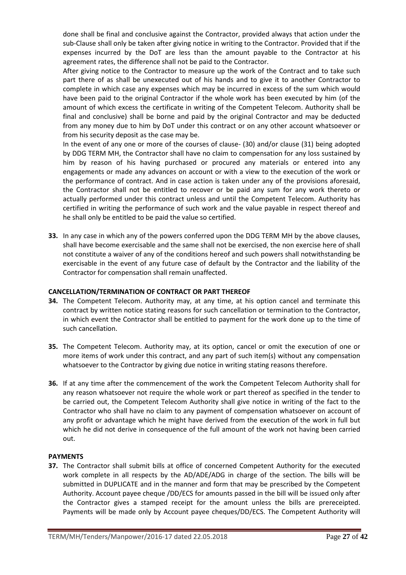done shall be final and conclusive against the Contractor, provided always that action under the sub-Clause shall only be taken after giving notice in writing to the Contractor. Provided that if the expenses incurred by the DoT are less than the amount payable to the Contractor at his agreement rates, the difference shall not be paid to the Contractor.

After giving notice to the Contractor to measure up the work of the Contract and to take such part there of as shall be unexecuted out of his hands and to give it to another Contractor to complete in which case any expenses which may be incurred in excess of the sum which would have been paid to the original Contractor if the whole work has been executed by him (of the amount of which excess the certificate in writing of the Competent Telecom. Authority shall be final and conclusive) shall be borne and paid by the original Contractor and may be deducted from any money due to him by DoT under this contract or on any other account whatsoever or from his security deposit as the case may be.

In the event of any one or more of the courses of clause- (30) and/or clause (31) being adopted by DDG TERM MH, the Contractor shall have no claim to compensation for any loss sustained by him by reason of his having purchased or procured any materials or entered into any engagements or made any advances on account or with a view to the execution of the work or the performance of contract. And in case action is taken under any of the provisions aforesaid, the Contractor shall not be entitled to recover or be paid any sum for any work thereto or actually performed under this contract unless and until the Competent Telecom. Authority has certified in writing the performance of such work and the value payable in respect thereof and he shall only be entitled to be paid the value so certified.

**33.** In any case in which any of the powers conferred upon the DDG TERM MH by the above clauses, shall have become exercisable and the same shall not be exercised, the non exercise here of shall not constitute a waiver of any of the conditions hereof and such powers shall notwithstanding be exercisable in the event of any future case of default by the Contractor and the liability of the Contractor for compensation shall remain unaffected.

### **CANCELLATION/TERMINATION OF CONTRACT OR PART THEREOF**

- **34.** The Competent Telecom. Authority may, at any time, at his option cancel and terminate this contract by written notice stating reasons for such cancellation or termination to the Contractor, in which event the Contractor shall be entitled to payment for the work done up to the time of such cancellation.
- **35.** The Competent Telecom. Authority may, at its option, cancel or omit the execution of one or more items of work under this contract, and any part of such item(s) without any compensation whatsoever to the Contractor by giving due notice in writing stating reasons therefore.
- **36.** If at any time after the commencement of the work the Competent Telecom Authority shall for any reason whatsoever not require the whole work or part thereof as specified in the tender to be carried out, the Competent Telecom Authority shall give notice in writing of the fact to the Contractor who shall have no claim to any payment of compensation whatsoever on account of any profit or advantage which he might have derived from the execution of the work in full but which he did not derive in consequence of the full amount of the work not having been carried out.

### **PAYMENTS**

**37.** The Contractor shall submit bills at office of concerned Competent Authority for the executed work complete in all respects by the AD/ADE/ADG in charge of the section. The bills will be submitted in DUPLICATE and in the manner and form that may be prescribed by the Competent Authority. Account payee cheque /DD/ECS for amounts passed in the bill will be issued only after the Contractor gives a stamped receipt for the amount unless the bills are prereceipted. Payments will be made only by Account payee cheques/DD/ECS. The Competent Authority will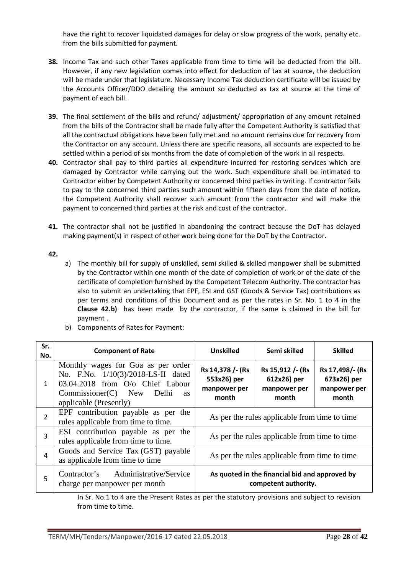have the right to recover liquidated damages for delay or slow progress of the work, penalty etc. from the bills submitted for payment.

- **38.** Income Tax and such other Taxes applicable from time to time will be deducted from the bill. However, if any new legislation comes into effect for deduction of tax at source, the deduction will be made under that legislature. Necessary Income Tax deduction certificate will be issued by the Accounts Officer/DDO detailing the amount so deducted as tax at source at the time of payment of each bill.
- **39.** The final settlement of the bills and refund/ adjustment/ appropriation of any amount retained from the bills of the Contractor shall be made fully after the Competent Authority is satisfied that all the contractual obligations have been fully met and no amount remains due for recovery from the Contractor on any account. Unless there are specific reasons, all accounts are expected to be settled within a period of six months from the date of completion of the work in all respects.
- **40.** Contractor shall pay to third parties all expenditure incurred for restoring services which are damaged by Contractor while carrying out the work. Such expenditure shall be intimated to Contractor either by Competent Authority or concerned third parties in writing. If contractor fails to pay to the concerned third parties such amount within fifteen days from the date of notice, the Competent Authority shall recover such amount from the contractor and will make the payment to concerned third parties at the risk and cost of the contractor.
- **41.** The contractor shall not be justified in abandoning the contract because the DoT has delayed making payment(s) in respect of other work being done for the DoT by the Contractor.

### **42.**

a) The monthly bill for supply of unskilled, semi skilled & skilled manpower shall be submitted by the Contractor within one month of the date of completion of work or of the date of the certificate of completion furnished by the Competent Telecom Authority. The contractor has also to submit an undertaking that EPF, ESI and GST (Goods & Service Tax) contributions as per terms and conditions of this Document and as per the rates in Sr. No. 1 to 4 in the **Clause 42.b)** has been made by the contractor, if the same is claimed in the bill for payment .

| Sr.<br>No.     | <b>Component of Rate</b>                                                                                                                                                           | <b>Unskilled</b>                                         | Semi skilled                                                           | <b>Skilled</b>                                          |
|----------------|------------------------------------------------------------------------------------------------------------------------------------------------------------------------------------|----------------------------------------------------------|------------------------------------------------------------------------|---------------------------------------------------------|
| $\mathbf{1}$   | Monthly wages for Goa as per order<br>No. F.No. 1/10(3)/2018-LS-II dated<br>03.04.2018 from O/o Chief Labour<br>$Commissioner(C)$ New Delhi<br><b>as</b><br>applicable (Presently) | Rs 14,378 /- (Rs<br>553x26) per<br>manpower per<br>month | Rs 15,912 / - (Rs<br>612x26) per<br>manpower per<br>month              | Rs 17,498/- (Rs<br>673x26) per<br>manpower per<br>month |
| $\overline{2}$ | EPF contribution payable as per the<br>rules applicable from time to time.                                                                                                         | As per the rules applicable from time to time            |                                                                        |                                                         |
| 3              | ESI contribution payable as per the<br>rules applicable from time to time.                                                                                                         | As per the rules applicable from time to time            |                                                                        |                                                         |
| $\overline{4}$ | Goods and Service Tax (GST) payable<br>as applicable from time to time                                                                                                             | As per the rules applicable from time to time            |                                                                        |                                                         |
| 5              | Contractor's Administrative/Service<br>charge per manpower per month                                                                                                               |                                                          | As quoted in the financial bid and approved by<br>competent authority. |                                                         |

b) Components of Rates for Payment:

In Sr. No.1 to 4 are the Present Rates as per the statutory provisions and subject to revision from time to time.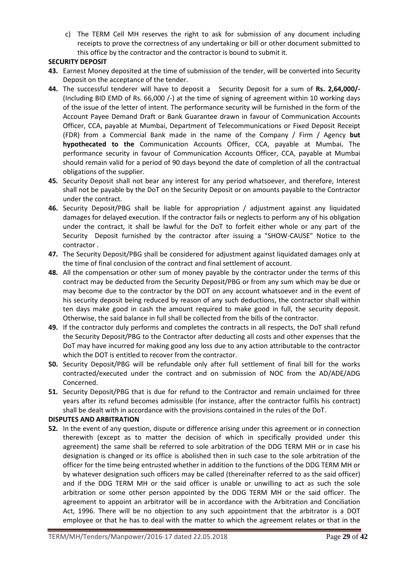c) The TERM Cell MH reserves the right to ask for submission of any document including receipts to prove the correctness of any undertaking or bill or other document submitted to this office by the contractor and the contractor is bound to submit it.

### **SECURITY DEPOSIT**

- **43.** Earnest Money deposited at the time of submission of the tender, will be converted into Security Deposit on the acceptance of the tender.
- **44.** The successful tenderer will have to deposit a Security Deposit for a sum of **Rs. 2,64,000/-**  (Including BID EMD of Rs. 66,000 /-) at the time of signing of agreement within 10 working days of the issue of the letter of intent. The performance security will be furnished in the form of the Account Payee Demand Draft or Bank Guarantee drawn in favour of Communication Accounts Officer, CCA, payable at Mumbai, Department of Telecommunications or Fixed Deposit Receipt (FDR) from a Commercial Bank made in the name of the Company / Firm / Agency **but hypothecated to the** Communication Accounts Officer, CCA, payable at Mumbai**.** The performance security in favour of Communication Accounts Officer, CCA, payable at Mumbai should remain valid for a period of 90 days beyond the date of completion of all the contractual obligations of the supplier.
- **45.** Security Deposit shall not bear any interest for any period whatsoever, and therefore, Interest shall not be payable by the DoT on the Security Deposit or on amounts payable to the Contractor under the contract.
- **46.** Security Deposit/PBG shall be liable for appropriation / adjustment against any liquidated damages for delayed execution. If the contractor fails or neglects to perform any of his obligation under the contract, it shall be lawful for the DoT to forfeit either whole or any part of the Security Deposit furnished by the contractor after issuing a "SHOW-CAUSE" Notice to the contractor .
- **47.** The Security Deposit/PBG shall be considered for adjustment against liquidated damages only at the time of final conclusion of the contract and final settlement of account.
- **48.** All the compensation or other sum of money payable by the contractor under the terms of this contract may be deducted from the Security Deposit/PBG or from any sum which may be due or may become due to the contractor by the DOT on any account whatsoever and in the event of his security deposit being reduced by reason of any such deductions, the contractor shall within ten days make good in cash the amount required to make good in full, the security deposit. Otherwise, the said balance in full shall be collected from the bills of the contractor.
- **49.** If the contractor duly performs and completes the contracts in all respects, the DoT shall refund the Security Deposit/PBG to the Contractor after deducting all costs and other expenses that the DoT may have incurred for making good any loss due to any action attributable to the contractor which the DOT is entitled to recover from the contractor.
- **50.** Security Deposit/PBG will be refundable only after full settlement of final bill for the works contracted/executed under the contract and on submission of NOC from the AD/ADE/ADG Concerned.
- **51.** Security Deposit/PBG that is due for refund to the Contractor and remain unclaimed for three years after its refund becomes admissible (for instance, after the contractor fulfils his contract) shall be dealt with in accordance with the provisions contained in the rules of the DoT.

#### **DISPUTES AND ARBITRATION**

**52.** In the event of any question, dispute or difference arising under this agreement or in connection therewith (except as to matter the decision of which in specifically provided under this agreement) the same shall be referred to sole arbitration of the DDG TERM MH or in case his designation is changed or its office is abolished then in such case to the sole arbitration of the officer for the time being entrusted whether in addition to the functions of the DDG TERM MH or by whatever designation such officers may be called (thereinafter referred to as the said officer) and if the DDG TERM MH or the said officer is unable or unwilling to act as such the sole arbitration or some other person appointed by the DDG TERM MH or the said officer. The agreement to appoint an arbitrator will be in accordance with the Arbitration and Conciliation Act, 1996. There will be no objection to any such appointment that the arbitrator is a DOT employee or that he has to deal with the matter to which the agreement relates or that in the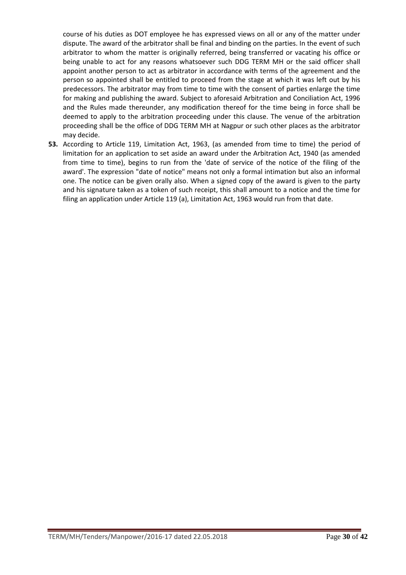course of his duties as DOT employee he has expressed views on all or any of the matter under dispute. The award of the arbitrator shall be final and binding on the parties. In the event of such arbitrator to whom the matter is originally referred, being transferred or vacating his office or being unable to act for any reasons whatsoever such DDG TERM MH or the said officer shall appoint another person to act as arbitrator in accordance with terms of the agreement and the person so appointed shall be entitled to proceed from the stage at which it was left out by his predecessors. The arbitrator may from time to time with the consent of parties enlarge the time for making and publishing the award. Subject to aforesaid Arbitration and Conciliation Act, 1996 and the Rules made thereunder, any modification thereof for the time being in force shall be deemed to apply to the arbitration proceeding under this clause. The venue of the arbitration proceeding shall be the office of DDG TERM MH at Nagpur or such other places as the arbitrator may decide.

**53.** According to Article 119, Limitation Act, 1963, (as amended from time to time) the period of limitation for an application to set aside an award under the Arbitration Act, 1940 (as amended from time to time), begins to run from the 'date of service of the notice of the filing of the award'. The expression "date of notice" means not only a formal intimation but also an informal one. The notice can be given orally also. When a signed copy of the award is given to the party and his signature taken as a token of such receipt, this shall amount to a notice and the time for filing an application under Article 119 (a), Limitation Act, 1963 would run from that date.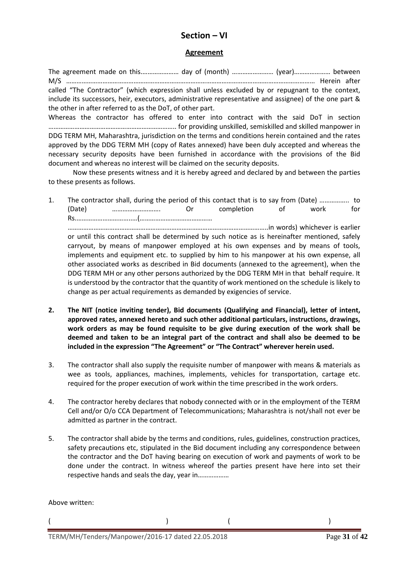# **Section – VI**

### **Agreement**

The agreement made on this.………………… day of (month) …………………… (year)………………… between M/S ……………………………………………………………………………………………………………………………… Herein after called "The Contractor" (which expression shall unless excluded by or repugnant to the context, include its successors, heir, executors, administrative representative and assignee) of the one part & the other in after referred to as the DoT, of other part.

Whereas the contractor has offered to enter into contract with the said DoT in section ……………………………………………………………….. for providing unskilled, semiskilled and skilled manpower in DDG TERM MH, Maharashtra, jurisdiction on the terms and conditions herein contained and the rates approved by the DDG TERM MH (copy of Rates annexed) have been duly accepted and whereas the necessary security deposits have been furnished in accordance with the provisions of the Bid document and whereas no interest will be claimed on the security deposits.

Now these presents witness and it is hereby agreed and declared by and between the parties to these presents as follows.

1. The contractor shall, during the period of this contact that is to say from (Date) …………….. to (Date) ………………………. Or completion of work for Rs.…………………………..…(……………………………………

……………………………………………………………………………………………………..in words) whichever is earlier or until this contract shall be determined by such notice as is hereinafter mentioned, safely carryout, by means of manpower employed at his own expenses and by means of tools, implements and equipment etc. to supplied by him to his manpower at his own expense, all other associated works as described in Bid documents (annexed to the agreement), when the DDG TERM MH or any other persons authorized by the DDG TERM MH in that behalf require. It is understood by the contractor that the quantity of work mentioned on the schedule is likely to change as per actual requirements as demanded by exigencies of service.

- **2. The NIT (notice inviting tender), Bid documents (Qualifying and Financial), letter of intent, approved rates, annexed hereto and such other additional particulars, instructions, drawings, work orders as may be found requisite to be give during execution of the work shall be deemed and taken to be an integral part of the contract and shall also be deemed to be included in the expression "The Agreement" or "The Contract" wherever herein used.**
- 3. The contractor shall also supply the requisite number of manpower with means & materials as wee as tools, appliances, machines, implements, vehicles for transportation, cartage etc. required for the proper execution of work within the time prescribed in the work orders.
- 4. The contractor hereby declares that nobody connected with or in the employment of the TERM Cell and/or O/o CCA Department of Telecommunications; Maharashtra is not/shall not ever be admitted as partner in the contract.
- 5. The contractor shall abide by the terms and conditions, rules, guidelines, construction practices, safety precautions etc, stipulated in the Bid document including any correspondence between the contractor and the DoT having bearing on execution of work and payments of work to be done under the contract. In witness whereof the parties present have here into set their respective hands and seals the day, year in………………

 $($ 

Above written:

TERM/MH/Tenders/Manpower/2016-17 dated 22.05.2018 Page **31** of **42**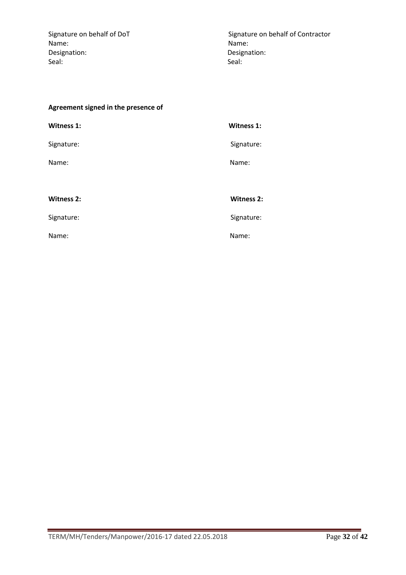Name: Name: Designation: Designation: Seal: Seal:

Signature on behalf of DoT Signature on behalf of Contractor

## **Agreement signed in the presence of**

| <b>Witness 1:</b> | Witness 1:        |
|-------------------|-------------------|
| Signature:        | Signature:        |
| Name:             | Name:             |
|                   |                   |
| <b>Witness 2:</b> | <b>Witness 2:</b> |
| Signature:        | Signature:        |
| Name:             | Name:             |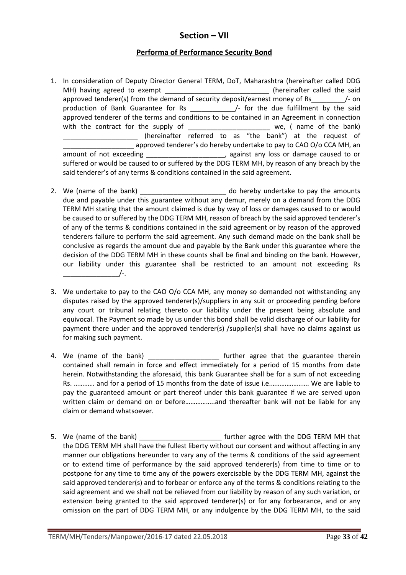# **Section – VII**

# **Performa of Performance Security Bond**

- 1. In consideration of Deputy Director General TERM, DoT, Maharashtra (hereinafter called DDG MH) having agreed to exempt \_\_\_\_\_\_\_\_\_\_\_\_\_\_\_\_\_\_\_\_\_\_\_\_\_\_\_\_(hereinafter called the said approved tenderer(s) from the demand of security deposit/earnest money of Rs  $\frac{1}{2}$  on production of Bank Guarantee for Rs \_\_\_\_\_\_\_\_\_\_\_\_\_\_\_\_/- for the due fulfillment by the said approved tenderer of the terms and conditions to be contained in an Agreement in connection with the contract for the supply of \_\_\_\_\_\_\_\_\_\_\_\_\_\_\_\_\_\_\_\_\_\_\_\_\_\_ we, ( name of the bank) (hereinafter referred to as "the bank") at the request of approved tenderer's do hereby undertake to pay to CAO O/o CCA MH, an amount of not exceeding and  $\overline{a}$ , against any loss or damage caused to or suffered or would be caused to or suffered by the DDG TERM MH, by reason of any breach by the said tenderer's of any terms & conditions contained in the said agreement.
- 2. We (name of the bank) \_\_\_\_\_\_\_\_\_\_\_\_\_\_\_\_\_\_\_\_\_\_\_\_ do hereby undertake to pay the amounts due and payable under this guarantee without any demur, merely on a demand from the DDG TERM MH stating that the amount claimed is due by way of loss or damages caused to or would be caused to or suffered by the DDG TERM MH, reason of breach by the said approved tenderer's of any of the terms & conditions contained in the said agreement or by reason of the approved tenderers failure to perform the said agreement. Any such demand made on the bank shall be conclusive as regards the amount due and payable by the Bank under this guarantee where the decision of the DDG TERM MH in these counts shall be final and binding on the bank. However, our liability under this guarantee shall be restricted to an amount not exceeding Rs  $\overline{a}$   $\overline{a}$   $\overline{a}$   $\overline{a}$   $\overline{a}$   $\overline{a}$   $\overline{a}$   $\overline{a}$   $\overline{a}$   $\overline{a}$   $\overline{a}$   $\overline{a}$   $\overline{a}$   $\overline{a}$   $\overline{a}$   $\overline{a}$   $\overline{a}$   $\overline{a}$   $\overline{a}$   $\overline{a}$   $\overline{a}$   $\overline{a}$   $\overline{a}$   $\overline{a}$   $\overline{$
- 3. We undertake to pay to the CAO O/o CCA MH, any money so demanded not withstanding any disputes raised by the approved tenderer(s)/suppliers in any suit or proceeding pending before any court or tribunal relating thereto our liability under the present being absolute and equivocal. The Payment so made by us under this bond shall be valid discharge of our liability for payment there under and the approved tenderer(s) /supplier(s) shall have no claims against us for making such payment.
- 4. We (name of the bank) and the state of the bank) and the guarantee therein contained shall remain in force and effect immediately for a period of 15 months from date herein. Notwithstanding the aforesaid, this bank Guarantee shall be for a sum of not exceeding Rs. ………… and for a period of 15 months from the date of issue i.e.…………………. We are liable to pay the guaranteed amount or part thereof under this bank guarantee if we are served upon written claim or demand on or before……………..and thereafter bank will not be liable for any claim or demand whatsoever.
- 5. We (name of the bank) \_\_\_\_\_\_\_\_\_\_\_\_\_\_\_\_\_\_\_\_\_\_ further agree with the DDG TERM MH that the DDG TERM MH shall have the fullest liberty without our consent and without affecting in any manner our obligations hereunder to vary any of the terms & conditions of the said agreement or to extend time of performance by the said approved tenderer(s) from time to time or to postpone for any time to time any of the powers exercisable by the DDG TERM MH, against the said approved tenderer(s) and to forbear or enforce any of the terms & conditions relating to the said agreement and we shall not be relieved from our liability by reason of any such variation, or extension being granted to the said approved tenderer(s) or for any forbearance, and or any omission on the part of DDG TERM MH, or any indulgence by the DDG TERM MH, to the said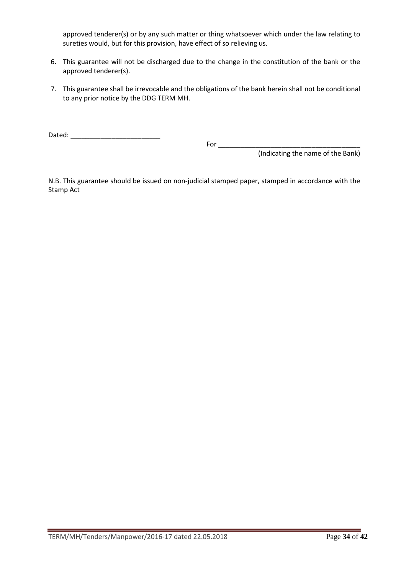approved tenderer(s) or by any such matter or thing whatsoever which under the law relating to sureties would, but for this provision, have effect of so relieving us.

- 6. This guarantee will not be discharged due to the change in the constitution of the bank or the approved tenderer(s).
- 7. This guarantee shall be irrevocable and the obligations of the bank herein shall not be conditional to any prior notice by the DDG TERM MH.

Dated: \_\_\_\_\_\_\_\_\_\_\_\_\_\_\_\_\_\_\_\_\_\_\_\_

 For \_\_\_\_\_\_\_\_\_\_\_\_\_\_\_\_\_\_\_\_\_\_\_\_\_\_\_\_\_\_\_\_\_\_\_\_\_\_ (Indicating the name of the Bank)

N.B. This guarantee should be issued on non-judicial stamped paper, stamped in accordance with the Stamp Act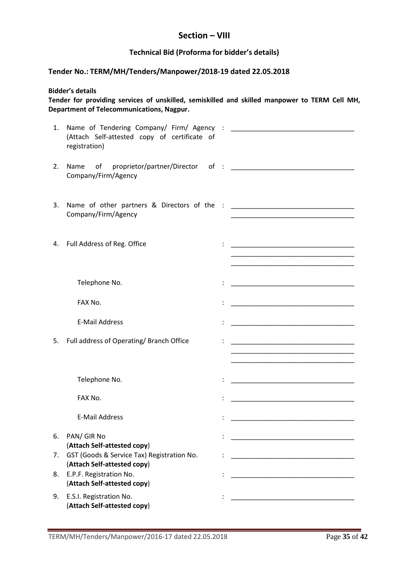# **Section – VIII**

### **Technical Bid (Proforma for bidder's details)**

### **Tender No.: TERM/MH/Tenders/Manpower/2018-19 dated 22.05.2018**

**Bidder's details** 

**Tender for providing services of unskilled, semiskilled and skilled manpower to TERM Cell MH, Department of Telecommunications, Nagpur.** 

| 1. | (Attach Self-attested copy of certificate of<br>registration)             |                                                                                                                       |
|----|---------------------------------------------------------------------------|-----------------------------------------------------------------------------------------------------------------------|
| 2. | Company/Firm/Agency                                                       |                                                                                                                       |
| 3. | Company/Firm/Agency                                                       |                                                                                                                       |
|    | 4. Full Address of Reg. Office                                            | <u> 1980 - Johann John Stein, mars an deutscher Stein und der Stein und der Stein und der Stein und der Stein und</u> |
|    | Telephone No.                                                             |                                                                                                                       |
|    | FAX No.                                                                   |                                                                                                                       |
|    | <b>E-Mail Address</b>                                                     |                                                                                                                       |
| 5. | Full address of Operating/ Branch Office                                  |                                                                                                                       |
|    | Telephone No.                                                             | <u> 1980 - Johann John Stone, markin fan it ferskearre fan it ferskearre fan it ferskearre fan it ferskearre fan </u> |
|    | FAX No.                                                                   |                                                                                                                       |
|    | <b>E-Mail Address</b>                                                     | <u> 1980 - Johann Barbara, martxa alemaniar a</u>                                                                     |
| 6. | PAN/ GIR No<br>(Attach Self-attested copy)                                | <u> 1990 - Johann John Stone, mars et al. (</u>                                                                       |
| 7. | GST (Goods & Service Tax) Registration No.<br>(Attach Self-attested copy) |                                                                                                                       |
| 8. | E.P.F. Registration No.<br>(Attach Self-attested copy)                    |                                                                                                                       |
| 9. | E.S.I. Registration No.<br>(Attach Self-attested copy)                    |                                                                                                                       |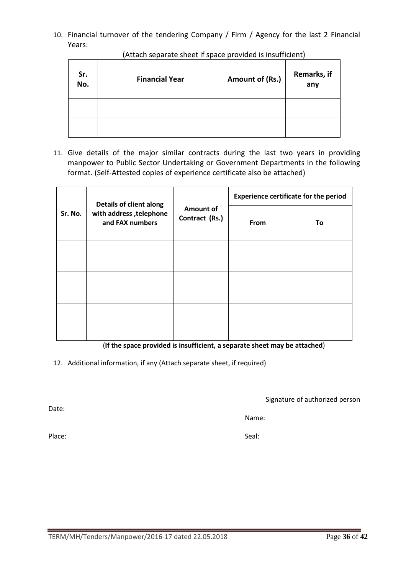10. Financial turnover of the tendering Company / Firm / Agency for the last 2 Financial Years:

| Sr.<br>No. | <b>Financial Year</b> | Amount of (Rs.) | Remarks, if<br>any |
|------------|-----------------------|-----------------|--------------------|
|            |                       |                 |                    |
|            |                       |                 |                    |

(Attach separate sheet if space provided is insufficient)

11. Give details of the major similar contracts during the last two years in providing manpower to Public Sector Undertaking or Government Departments in the following format. (Self-Attested copies of experience certificate also be attached)

|         | <b>Details of client along</b>             | Amount of<br>Contract (Rs.) | <b>Experience certificate for the period</b> |    |  |
|---------|--------------------------------------------|-----------------------------|----------------------------------------------|----|--|
| Sr. No. | with address, telephone<br>and FAX numbers |                             | From                                         | To |  |
|         |                                            |                             |                                              |    |  |
|         |                                            |                             |                                              |    |  |
|         |                                            |                             |                                              |    |  |

(**If the space provided is insufficient, a separate sheet may be attached**)

12. Additional information, if any (Attach separate sheet, if required)

Signature of authorized person

Name:

Date:

Place: Seal: Seal: Seal: Seal: Seal: Seal: Seal: Seal: Seal: Seal: Seal: Seal: Seal: Seal: Seal: Seal: Seal: Seal: Seal: Seal: Seal: Seal: Seal: Seal: Seal: Seal: Seal: Seal: Seal: Seal: Seal: Seal: Seal: Seal: Seal: Seal: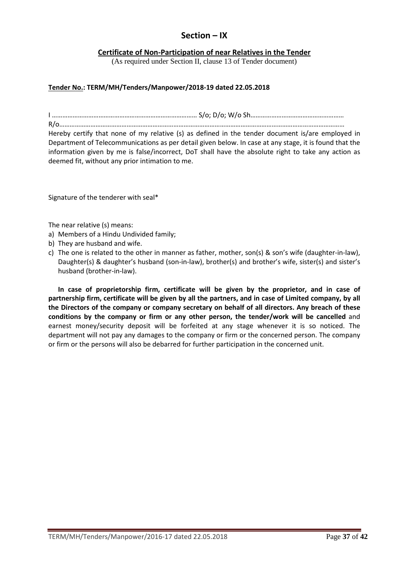# **Section – IX**

### **Certificate of Non-Participation of near Relatives in the Tender**

(As required under Section II, clause 13 of Tender document)

### **Tender No.: TERM/MH/Tenders/Manpower/2018-19 dated 22.05.2018**

I ………………………………………………………………………… S/o; D/o; W/o Sh……………………………………………… R/o…………………………………………………………………………………………………………………………………………………

Hereby certify that none of my relative (s) as defined in the tender document is/are employed in Department of Telecommunications as per detail given below. In case at any stage, it is found that the information given by me is false/incorrect, DoT shall have the absolute right to take any action as deemed fit, without any prior intimation to me.

Signature of the tenderer with seal\*

The near relative (s) means:

- a) Members of a Hindu Undivided family;
- b) They are husband and wife.
- c) The one is related to the other in manner as father, mother, son(s) & son's wife (daughter-in-law), Daughter(s) & daughter's husband (son-in-law), brother(s) and brother's wife, sister(s) and sister's husband (brother-in-law).

**In case of proprietorship firm, certificate will be given by the proprietor, and in case of partnership firm, certificate will be given by all the partners, and in case of Limited company, by all the Directors of the company or company secretary on behalf of all directors. Any breach of these conditions by the company or firm or any other person, the tender/work will be cancelled** and earnest money/security deposit will be forfeited at any stage whenever it is so noticed. The department will not pay any damages to the company or firm or the concerned person. The company or firm or the persons will also be debarred for further participation in the concerned unit.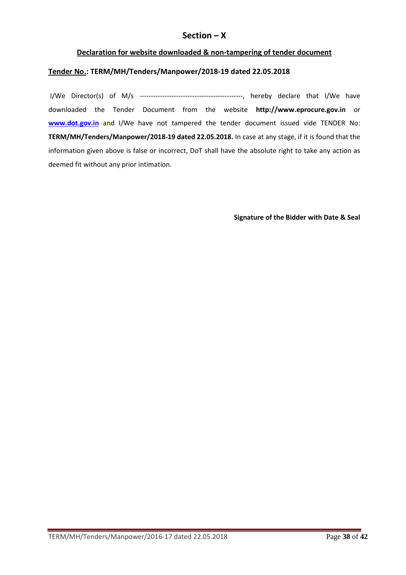# **Section – X**

### **Declaration for website downloaded & non-tampering of tender document**

### **Tender No.: TERM/MH/Tenders/Manpower/2018-19 dated 22.05.2018**

 I/We Director(s) of M/s ---------------------------------------------, hereby declare that I/We have downloaded the Tender Document from the website **http://www.eprocure.gov.in** or **www.dot.gov.in** and I/We have not tampered the tender document issued vide TENDER No: **TERM/MH/Tenders/Manpower/2018-19 dated 22.05.2018.** In case at any stage, if it is found that the information given above is false or incorrect, DoT shall have the absolute right to take any action as deemed fit without any prior intimation.

**Signature of the Bidder with Date & Seal**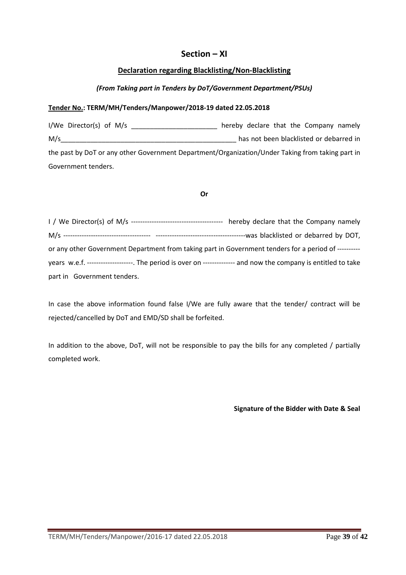# **Section – XI**

### **Declaration regarding Blacklisting/Non-Blacklisting**

### *(From Taking part in Tenders by DoT/Government Department/PSUs)*

#### **Tender No.: TERM/MH/Tenders/Manpower/2018-19 dated 22.05.2018**

I/We Director(s) of M/s **EXECUTE:** hereby declare that the Company namely M/s\_\_\_\_\_\_\_\_\_\_\_\_\_\_\_\_\_\_\_\_\_\_\_\_\_\_\_\_\_\_\_\_\_\_\_\_\_\_\_\_\_\_\_\_\_\_\_ has not been blacklisted or debarred in the past by DoT or any other Government Department/Organization/Under Taking from taking part in Government tenders.

#### **Or**

| or any other Government Department from taking part in Government tenders for a period of ---------              |  |
|------------------------------------------------------------------------------------------------------------------|--|
| years w.e.f. --------------------. The period is over on --------------- and now the company is entitled to take |  |
| part in Government tenders.                                                                                      |  |

In case the above information found false I/We are fully aware that the tender/ contract will be rejected/cancelled by DoT and EMD/SD shall be forfeited.

In addition to the above, DoT, will not be responsible to pay the bills for any completed / partially completed work.

**Signature of the Bidder with Date & Seal**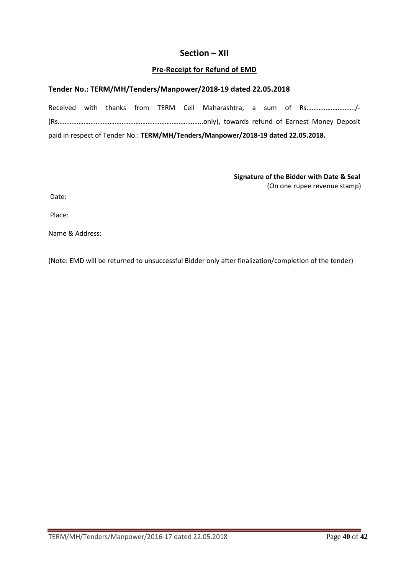# **Section – XII**

### **Pre-Receipt for Refund of EMD**

### **Tender No.: TERM/MH/Tenders/Manpower/2018-19 dated 22.05.2018**

Received with thanks from TERM Cell Maharashtra, a sum of Rs………………………./- (Rs…………………………………………………………………….…..only), towards refund of Earnest Money Deposit paid in respect of Tender No.: **TERM/MH/Tenders/Manpower/2018-19 dated 22.05.2018.**

> **Signature of the Bidder with Date & Seal**  (On one rupee revenue stamp)

Date:

Place:

Name & Address:

(Note: EMD will be returned to unsuccessful Bidder only after finalization/completion of the tender)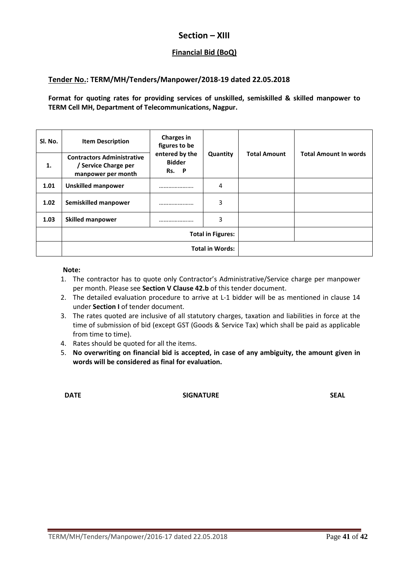# **Section – XIII**

# **Financial Bid (BoQ)**

### **Tender No.: TERM/MH/Tenders/Manpower/2018-19 dated 22.05.2018**

**Format for quoting rates for providing services of unskilled, semiskilled & skilled manpower to TERM Cell MH, Department of Telecommunications, Nagpur.** 

| Sl. No. | <b>Item Description</b>                                                         | <b>Charges in</b><br>figures to be<br>entered by the<br><b>Bidder</b><br>Rs. P | Quantity | <b>Total Amount</b> | <b>Total Amount In words</b> |
|---------|---------------------------------------------------------------------------------|--------------------------------------------------------------------------------|----------|---------------------|------------------------------|
| 1.      | <b>Contractors Administrative</b><br>/ Service Charge per<br>manpower per month |                                                                                |          |                     |                              |
| 1.01    | <b>Unskilled manpower</b>                                                       |                                                                                | 4        |                     |                              |
| 1.02    | Semiskilled manpower                                                            |                                                                                | 3        |                     |                              |
| 1.03    | <b>Skilled manpower</b>                                                         |                                                                                | 3        |                     |                              |
|         | <b>Total in Figures:</b>                                                        |                                                                                |          |                     |                              |
|         | <b>Total in Words:</b>                                                          |                                                                                |          |                     |                              |

**Note:** 

- 1. The contractor has to quote only Contractor's Administrative/Service charge per manpower per month. Please see **Section V Clause 42.b** of this tender document.
- 2. The detailed evaluation procedure to arrive at L-1 bidder will be as mentioned in clause 14 under **Section I** of tender document.
- 3. The rates quoted are inclusive of all statutory charges, taxation and liabilities in force at the time of submission of bid (except GST (Goods & Service Tax) which shall be paid as applicable from time to time).
- 4. Rates should be quoted for all the items.
- 5. **No overwriting on financial bid is accepted, in case of any ambiguity, the amount given in words will be considered as final for evaluation.**

**DATE** SIGNATURE SIGNATURE SEAL